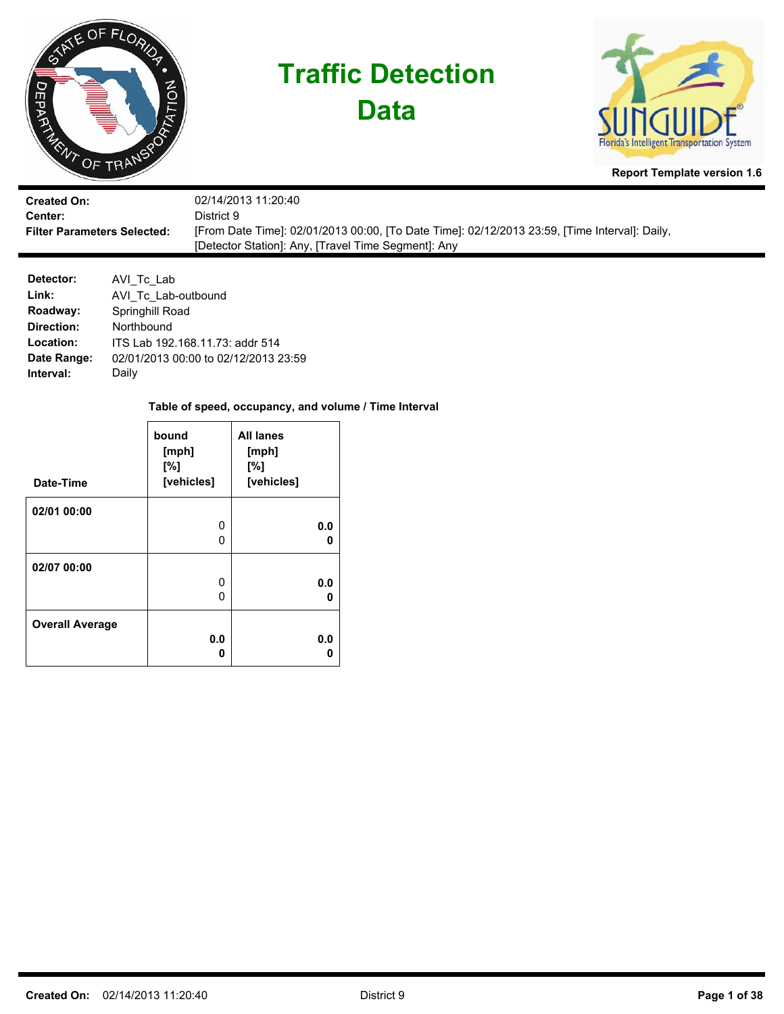



**Report Template version 1.6**

| <b>Created On:</b>                 | 02/14/2013 11:20:40                                                                           |
|------------------------------------|-----------------------------------------------------------------------------------------------|
| Center:                            | District 9.                                                                                   |
| <b>Filter Parameters Selected:</b> | [From Date Time]: 02/01/2013 00:00, [To Date Time]: 02/12/2013 23:59, [Time Interval]: Daily, |
|                                    | [Detector Station]: Any, [Travel Time Segment]: Any                                           |

| Detector:   | AVI_Tc_Lab                           |
|-------------|--------------------------------------|
| Link:       | AVI Tc Lab-outbound                  |
| Roadway:    | Springhill Road                      |
| Direction:  | Northbound                           |
| Location:   | ITS Lab 192.168.11.73: addr 514      |
| Date Range: | 02/01/2013 00:00 to 02/12/2013 23:59 |
| Interval:   | Daily                                |

| Date-Time              | bound<br>[mph]<br>[%]<br>[vehicles] | <b>All lanes</b><br>[mph]<br>[%]<br>[vehicles] |
|------------------------|-------------------------------------|------------------------------------------------|
|                        |                                     |                                                |
| 02/01 00:00            |                                     |                                                |
|                        | 0                                   | 0.0                                            |
|                        | O                                   | n                                              |
|                        |                                     |                                                |
| 02/07 00:00            |                                     |                                                |
|                        | 0                                   | 0.0                                            |
|                        | O                                   | n                                              |
|                        |                                     |                                                |
| <b>Overall Average</b> |                                     |                                                |
|                        | 0.0                                 | 0.0                                            |
|                        | Λ                                   |                                                |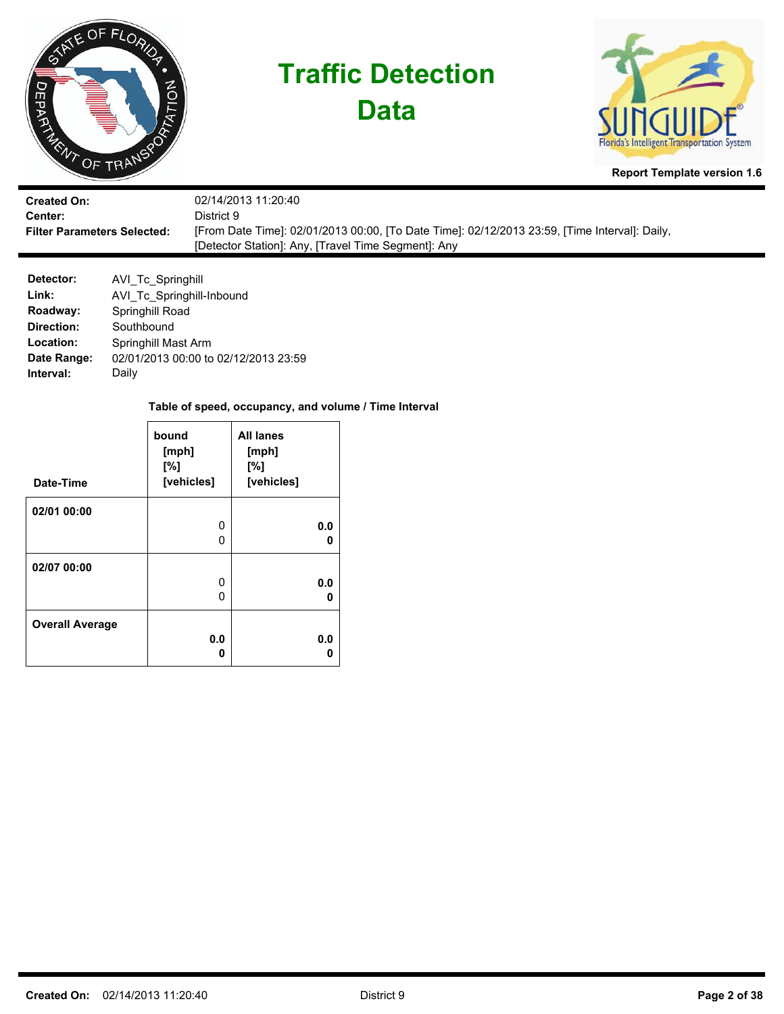

| <b>Created On:</b>                 | 02/14/2013 11:20:40                                                                           |
|------------------------------------|-----------------------------------------------------------------------------------------------|
| <b>Center:</b>                     | District 9                                                                                    |
| <b>Filter Parameters Selected:</b> | [From Date Time]: 02/01/2013 00:00, [To Date Time]: 02/12/2013 23:59, [Time Interval]: Daily, |
|                                    | [Detector Station]: Any, [Travel Time Segment]: Any                                           |

| Detector:   | AVI Tc Springhill                    |
|-------------|--------------------------------------|
| Link:       | AVI Tc Springhill-Inbound            |
| Roadway:    | Springhill Road                      |
| Direction:  | Southbound                           |
| Location:   | Springhill Mast Arm                  |
| Date Range: | 02/01/2013 00:00 to 02/12/2013 23:59 |
| Interval:   | Daily                                |

| Date-Time              | bound<br>[mph]<br>[%]<br>[vehicles] | <b>All lanes</b><br>[mph]<br>[%]<br>[vehicles] |
|------------------------|-------------------------------------|------------------------------------------------|
|                        |                                     |                                                |
| 02/01 00:00            |                                     |                                                |
|                        | 0                                   | 0.0                                            |
|                        | O                                   | n                                              |
|                        |                                     |                                                |
| 02/07 00:00            |                                     |                                                |
|                        | 0                                   | 0.0                                            |
|                        | O                                   | n                                              |
|                        |                                     |                                                |
| <b>Overall Average</b> |                                     |                                                |
|                        | 0.0                                 | 0.0                                            |
|                        | Λ                                   |                                                |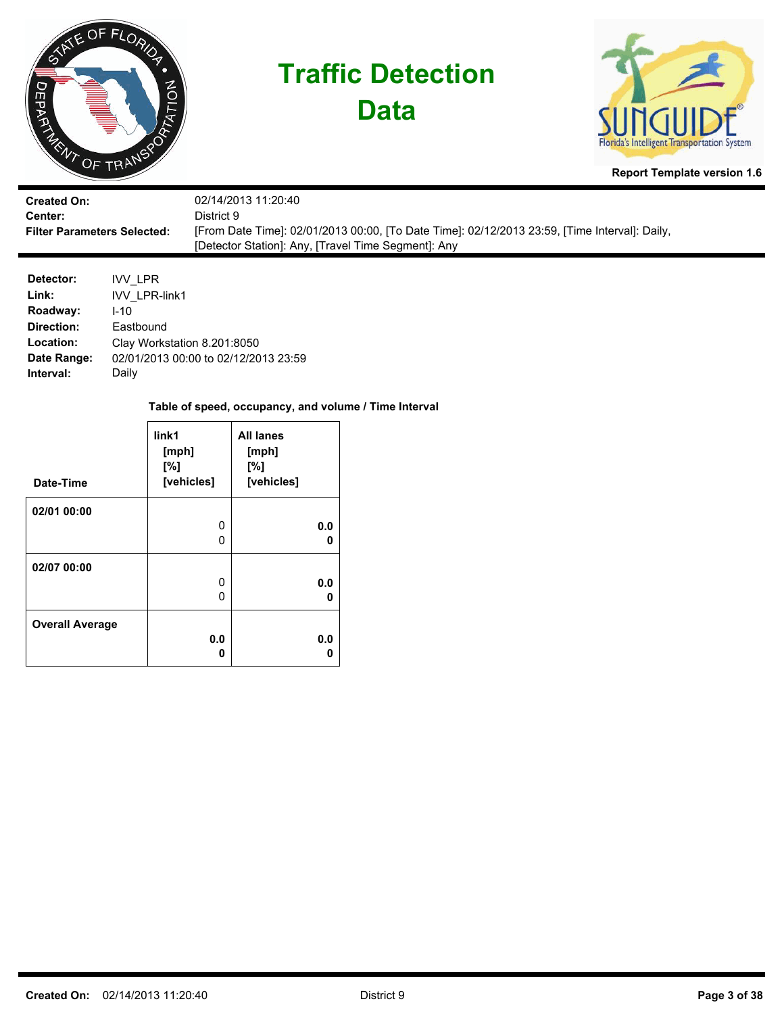

**Data**



**Report Template version 1.6**

| <b>Created On:</b>                 | 02/14/2013 11:20:40                                                                           |
|------------------------------------|-----------------------------------------------------------------------------------------------|
| Center:                            | District 9                                                                                    |
| <b>Filter Parameters Selected:</b> | [From Date Time]: 02/01/2013 00:00, [To Date Time]: 02/12/2013 23:59, [Time Interval]: Daily, |
|                                    | [Detector Station]: Any, [Travel Time Segment]: Any                                           |

| Detector:   | IVV LPR                              |
|-------------|--------------------------------------|
| Link:       | <b>IVV LPR-link1</b>                 |
| Roadway:    | $1 - 10$                             |
| Direction:  | Eastbound                            |
| Location:   | Clay Workstation 8.201:8050          |
| Date Range: | 02/01/2013 00:00 to 02/12/2013 23:59 |
| Interval:   | Daily                                |

| Date-Time              | link1<br>[mph]<br>[%]<br>[vehicles] | <b>All lanes</b><br>[mph]<br>[%]<br>[vehicles] |
|------------------------|-------------------------------------|------------------------------------------------|
|                        |                                     |                                                |
| 02/01 00:00            |                                     |                                                |
|                        | 0                                   | 0.0                                            |
|                        | 0                                   | n                                              |
| 02/07 00:00            |                                     |                                                |
|                        | 0                                   | 0.0                                            |
|                        | O                                   | o                                              |
| <b>Overall Average</b> |                                     |                                                |
|                        | 0.0                                 | 0.0                                            |
|                        | Ω                                   |                                                |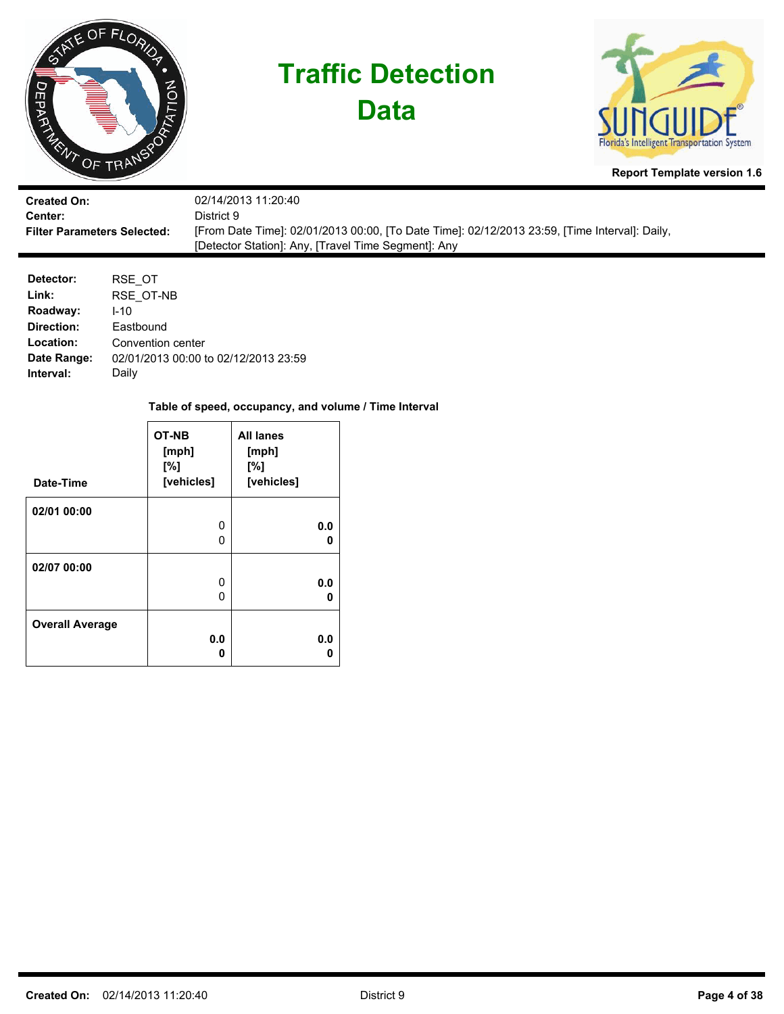





**Report Template version 1.6**

| <b>Created On:</b>                 | 02/14/2013 11:20:40                                                                           |
|------------------------------------|-----------------------------------------------------------------------------------------------|
| <b>Center:</b>                     | District 9.                                                                                   |
| <b>Filter Parameters Selected:</b> | [From Date Time]: 02/01/2013 00:00, [To Date Time]: 02/12/2013 23:59, [Time Interval]: Daily, |
|                                    | [Detector Station]: Any, [Travel Time Segment]: Any                                           |

| Detector:   | RSE OT                               |
|-------------|--------------------------------------|
| Link:       | RSE OT-NB                            |
| Roadway:    | $1 - 10$                             |
| Direction:  | Eastbound                            |
| Location:   | Convention center                    |
| Date Range: | 02/01/2013 00:00 to 02/12/2013 23:59 |
| Interval:   | Daily                                |

| Date-Time              | OT-NB<br>[mph]<br>[%]<br>[vehicles] | <b>All lanes</b><br>[mph]<br>[%]<br>[vehicles] |
|------------------------|-------------------------------------|------------------------------------------------|
|                        |                                     |                                                |
| 02/01 00:00            |                                     |                                                |
|                        | 0                                   | 0.0                                            |
|                        | O                                   | n                                              |
|                        |                                     |                                                |
| 02/07 00:00            |                                     |                                                |
|                        | 0                                   | 0.0                                            |
|                        | O                                   | n                                              |
|                        |                                     |                                                |
| <b>Overall Average</b> |                                     |                                                |
|                        | 0.0                                 | 0.0                                            |
|                        | n                                   |                                                |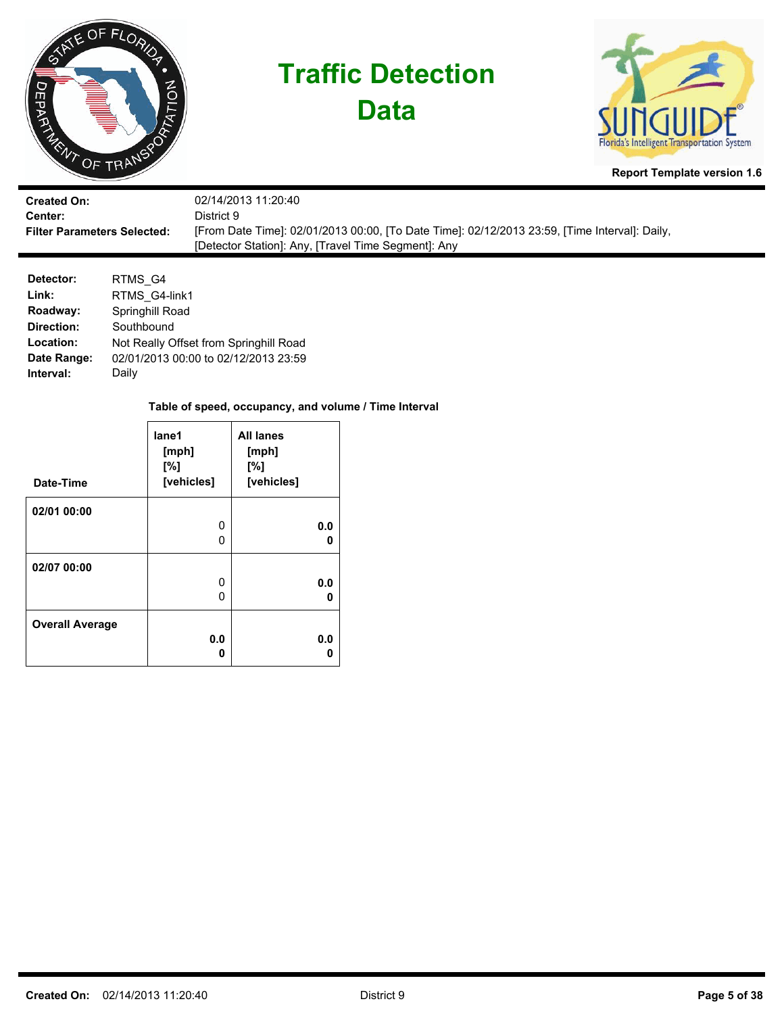

**Data**



**Report Template version 1.6**

| <b>Created On:</b>                 | 02/14/2013 11:20:40                                                                           |
|------------------------------------|-----------------------------------------------------------------------------------------------|
| <b>Center:</b>                     | District 9.                                                                                   |
| <b>Filter Parameters Selected:</b> | [From Date Time]: 02/01/2013 00:00, [To Date Time]: 02/12/2013 23:59, [Time Interval]: Daily, |
|                                    | [Detector Station]: Any, [Travel Time Segment]: Any                                           |

| Detector:   | RTMS G4                                |
|-------------|----------------------------------------|
| Link:       | RTMS G4-link1                          |
| Roadway:    | Springhill Road                        |
| Direction:  | Southbound                             |
| Location:   | Not Really Offset from Springhill Road |
| Date Range: | 02/01/2013 00:00 to 02/12/2013 23:59   |
| Interval:   | Daily                                  |

| Date-Time              | lane1<br>[mph]<br>[%]<br>[vehicles] | <b>All lanes</b><br>[mph]<br>[%]<br>[vehicles] |
|------------------------|-------------------------------------|------------------------------------------------|
| 02/01 00:00            |                                     |                                                |
|                        | 0                                   | 0.0                                            |
|                        | 0                                   | n                                              |
| 02/07 00:00            |                                     |                                                |
|                        | 0                                   | 0.0                                            |
|                        | 0                                   | n                                              |
| <b>Overall Average</b> |                                     |                                                |
|                        | 0.0                                 | 0.0                                            |
|                        | Ω                                   |                                                |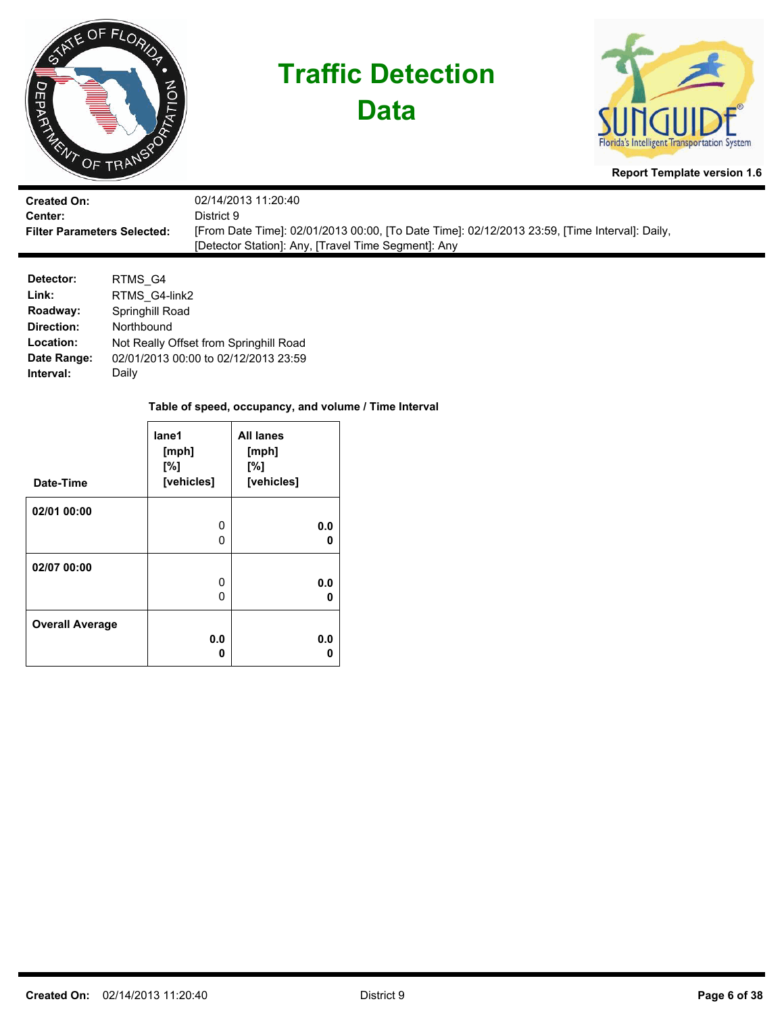

**Data**



**Report Template version 1.6**

| <b>Created On:</b>                 | 02/14/2013 11:20:40                                                                           |
|------------------------------------|-----------------------------------------------------------------------------------------------|
| Center:                            | District 9                                                                                    |
| <b>Filter Parameters Selected:</b> | [From Date Time]: 02/01/2013 00:00, [To Date Time]: 02/12/2013 23:59, [Time Interval]: Daily, |
|                                    | [Detector Station]: Any, [Travel Time Segment]: Any                                           |

| Detector:   | RTMS G4                                |
|-------------|----------------------------------------|
| Link:       | RTMS G4-link2                          |
| Roadway:    | Springhill Road                        |
| Direction:  | Northbound                             |
| Location:   | Not Really Offset from Springhill Road |
| Date Range: | 02/01/2013 00:00 to 02/12/2013 23:59   |
| Interval:   | Daily                                  |

| Date-Time              | lane1<br>[mph]<br>$N^{\circ}$<br>[vehicles] | <b>All lanes</b><br>[mph]<br>[%]<br>[vehicles] |
|------------------------|---------------------------------------------|------------------------------------------------|
| 02/01 00:00            |                                             |                                                |
|                        | 0                                           | 0.0                                            |
|                        | ი                                           | n                                              |
| 02/07 00:00            |                                             |                                                |
|                        | 0                                           | 0.0                                            |
|                        | O                                           | o                                              |
| <b>Overall Average</b> |                                             |                                                |
|                        | 0.0                                         | 0.0                                            |
|                        | Ω                                           |                                                |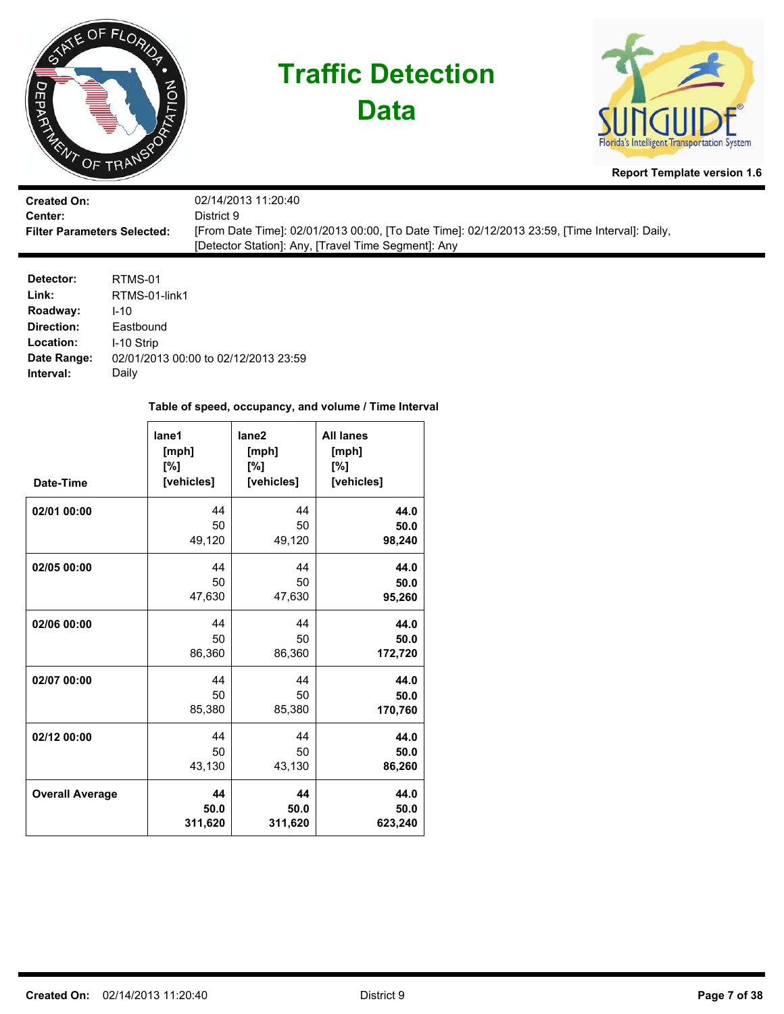

**Data**



**Report Template version 1.6**

| <b>Created On:</b>                 | 02/14/2013 11:20:40                                                                           |
|------------------------------------|-----------------------------------------------------------------------------------------------|
| <b>Center:</b>                     | District 9                                                                                    |
| <b>Filter Parameters Selected:</b> | [From Date Time]: 02/01/2013 00:00, [To Date Time]: 02/12/2013 23:59, [Time Interval]: Daily, |
|                                    | [Detector Station]: Any, [Travel Time Segment]: Any                                           |

| Detector:   | RTMS-01                              |
|-------------|--------------------------------------|
| Link:       | RTMS-01-link1                        |
| Roadway:    | $1 - 10$                             |
| Direction:  | Eastbound                            |
| Location:   | I-10 Strip                           |
| Date Range: | 02/01/2013 00:00 to 02/12/2013 23:59 |
| Interval:   | Daily                                |

| Date-Time              | lane1<br>[mph]<br>[%]<br>[vehicles] | lane <sub>2</sub><br>[mph]<br>[%]<br>[vehicles] | <b>All lanes</b><br>[mph]<br>[%]<br>[vehicles] |
|------------------------|-------------------------------------|-------------------------------------------------|------------------------------------------------|
| 02/01 00:00            | 44                                  | 44                                              | 44.0                                           |
|                        | 50                                  | 50                                              | 50.0                                           |
|                        | 49,120                              | 49,120                                          | 98,240                                         |
| 02/05 00:00            | 44                                  | 44                                              | 44.0                                           |
|                        | 50                                  | 50                                              | 50.0                                           |
|                        | 47,630                              | 47,630                                          | 95,260                                         |
| 02/06 00:00            | 44                                  | 44                                              | 44.0                                           |
|                        | 50                                  | 50                                              | 50.0                                           |
|                        | 86,360                              | 86,360                                          | 172,720                                        |
| 02/07 00:00            | 44                                  | 44                                              | 44.0                                           |
|                        | 50                                  | 50                                              | 50.0                                           |
|                        | 85,380                              | 85,380                                          | 170,760                                        |
| 02/12 00:00            | 44                                  | 44                                              | 44.0                                           |
|                        | 50                                  | 50                                              | 50.0                                           |
|                        | 43,130                              | 43,130                                          | 86,260                                         |
| <b>Overall Average</b> | 44                                  | 44                                              | 44.0                                           |
|                        | 50.0                                | 50.0                                            | 50.0                                           |
|                        | 311,620                             | 311,620                                         | 623,240                                        |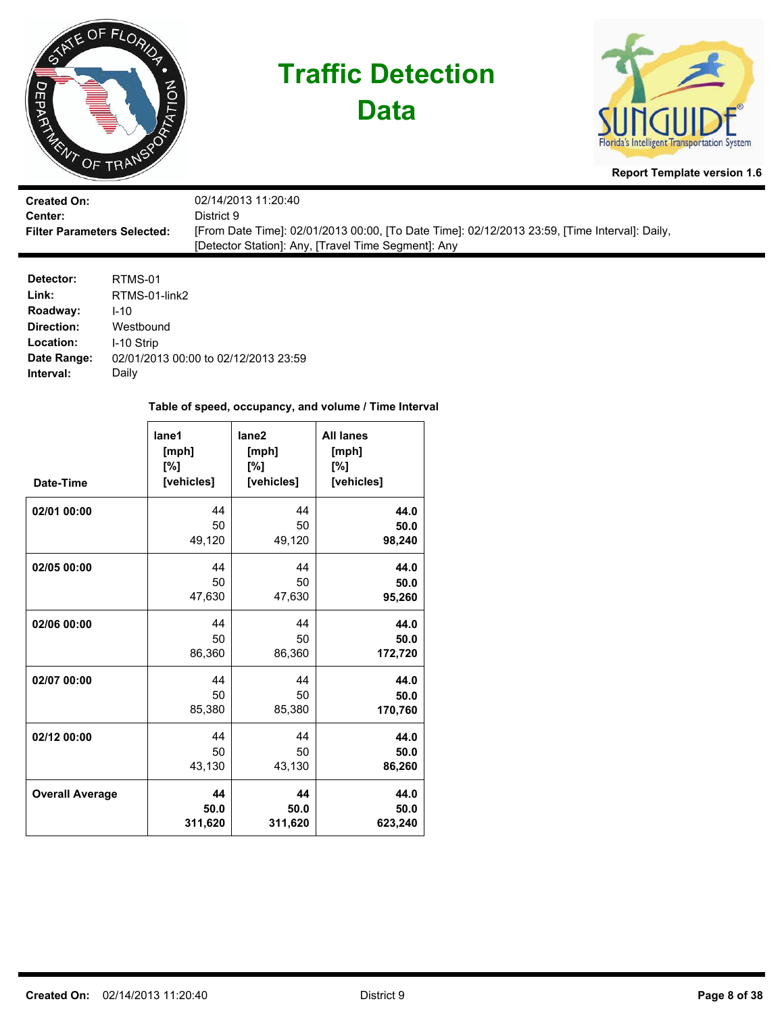

**Data**



**Report Template version 1.6**

| <b>Created On:</b>                 | 02/14/2013 11:20:40                                                                           |
|------------------------------------|-----------------------------------------------------------------------------------------------|
| <b>Center:</b>                     | District 9.                                                                                   |
| <b>Filter Parameters Selected:</b> | [From Date Time]: 02/01/2013 00:00, [To Date Time]: 02/12/2013 23:59, [Time Interval]: Daily, |
|                                    | [Detector Station]: Any, [Travel Time Segment]: Any                                           |

| Detector:   | RTMS-01                              |
|-------------|--------------------------------------|
| Link:       | RTMS-01-link2                        |
| Roadway:    | $1 - 10$                             |
| Direction:  | Westbound                            |
| Location:   | I-10 Strip                           |
| Date Range: | 02/01/2013 00:00 to 02/12/2013 23:59 |
| Interval:   | Daily                                |

| Date-Time              | lane1<br>[mph]<br>[%]<br>[vehicles] | lane <sub>2</sub><br>[mph]<br>[%]<br>[vehicles] | <b>All lanes</b><br>[mph]<br>[%]<br>[vehicles] |
|------------------------|-------------------------------------|-------------------------------------------------|------------------------------------------------|
| 02/01 00:00            | 44                                  | 44                                              | 44.0                                           |
|                        | 50                                  | 50                                              | 50.0                                           |
|                        | 49,120                              | 49,120                                          | 98,240                                         |
| 02/05 00:00            | 44                                  | 44                                              | 44.0                                           |
|                        | 50                                  | 50                                              | 50.0                                           |
|                        | 47,630                              | 47,630                                          | 95,260                                         |
| 02/06 00:00            | 44                                  | 44                                              | 44.0                                           |
|                        | 50                                  | 50                                              | 50.0                                           |
|                        | 86,360                              | 86,360                                          | 172,720                                        |
| 02/07 00:00            | 44                                  | 44                                              | 44.0                                           |
|                        | 50                                  | 50                                              | 50.0                                           |
|                        | 85,380                              | 85,380                                          | 170,760                                        |
| 02/12 00:00            | 44                                  | 44                                              | 44.0                                           |
|                        | 50                                  | 50                                              | 50.0                                           |
|                        | 43,130                              | 43,130                                          | 86,260                                         |
| <b>Overall Average</b> | 44                                  | 44                                              | 44.0                                           |
|                        | 50.0                                | 50.0                                            | 50.0                                           |
|                        | 311,620                             | 311,620                                         | 623,240                                        |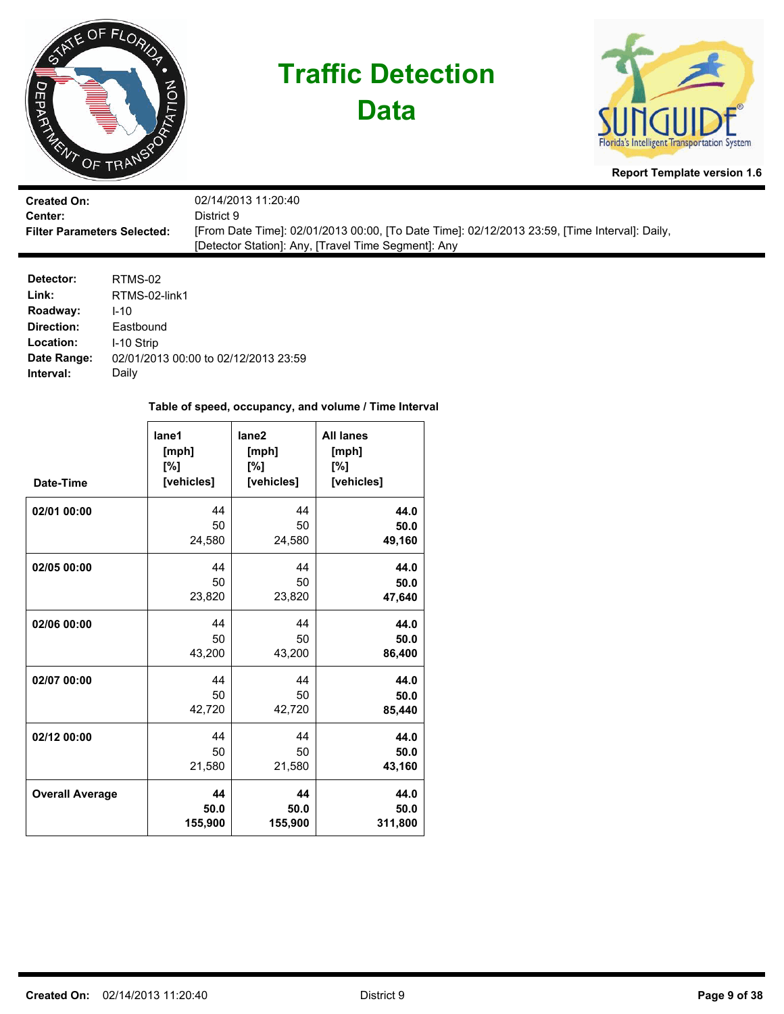

**Data**



**Report Template version 1.6**

| <b>Created On:</b>                 | 02/14/2013 11:20:40                                                                           |
|------------------------------------|-----------------------------------------------------------------------------------------------|
| Center:                            | District 9.                                                                                   |
| <b>Filter Parameters Selected:</b> | [From Date Time]: 02/01/2013 00:00, [To Date Time]: 02/12/2013 23:59, [Time Interval]: Daily, |
|                                    | [Detector Station]: Any, [Travel Time Segment]: Any                                           |

| Detector:   | RTMS-02                              |
|-------------|--------------------------------------|
| Link:       | RTMS-02-link1                        |
| Roadway:    | $1 - 10$                             |
| Direction:  | Eastbound                            |
| Location:   | I-10 Strip                           |
| Date Range: | 02/01/2013 00:00 to 02/12/2013 23:59 |
| Interval:   | Daily                                |

| Date-Time              | lane1<br>[mph]<br>[%]<br>[vehicles] | lane <sub>2</sub><br>[mph]<br>[%]<br>[vehicles] | <b>All lanes</b><br>[mph]<br>[%]<br>[vehicles] |
|------------------------|-------------------------------------|-------------------------------------------------|------------------------------------------------|
| 02/01 00:00            | 44                                  | 44                                              | 44.0                                           |
|                        | 50                                  | 50                                              | 50.0                                           |
|                        | 24,580                              | 24,580                                          | 49,160                                         |
| 02/05 00:00            | 44                                  | 44                                              | 44.0                                           |
|                        | 50                                  | 50                                              | 50.0                                           |
|                        | 23,820                              | 23,820                                          | 47,640                                         |
| 02/06 00:00            | 44                                  | 44                                              | 44.0                                           |
|                        | 50                                  | 50                                              | 50.0                                           |
|                        | 43,200                              | 43,200                                          | 86,400                                         |
| 02/07 00:00            | 44                                  | 44                                              | 44.0                                           |
|                        | 50                                  | 50                                              | 50.0                                           |
|                        | 42,720                              | 42,720                                          | 85,440                                         |
| 02/12 00:00            | 44                                  | 44                                              | 44.0                                           |
|                        | 50                                  | 50                                              | 50.0                                           |
|                        | 21,580                              | 21,580                                          | 43,160                                         |
| <b>Overall Average</b> | 44                                  | 44                                              | 44.0                                           |
|                        | 50.0                                | 50.0                                            | 50.0                                           |
|                        | 155,900                             | 155,900                                         | 311,800                                        |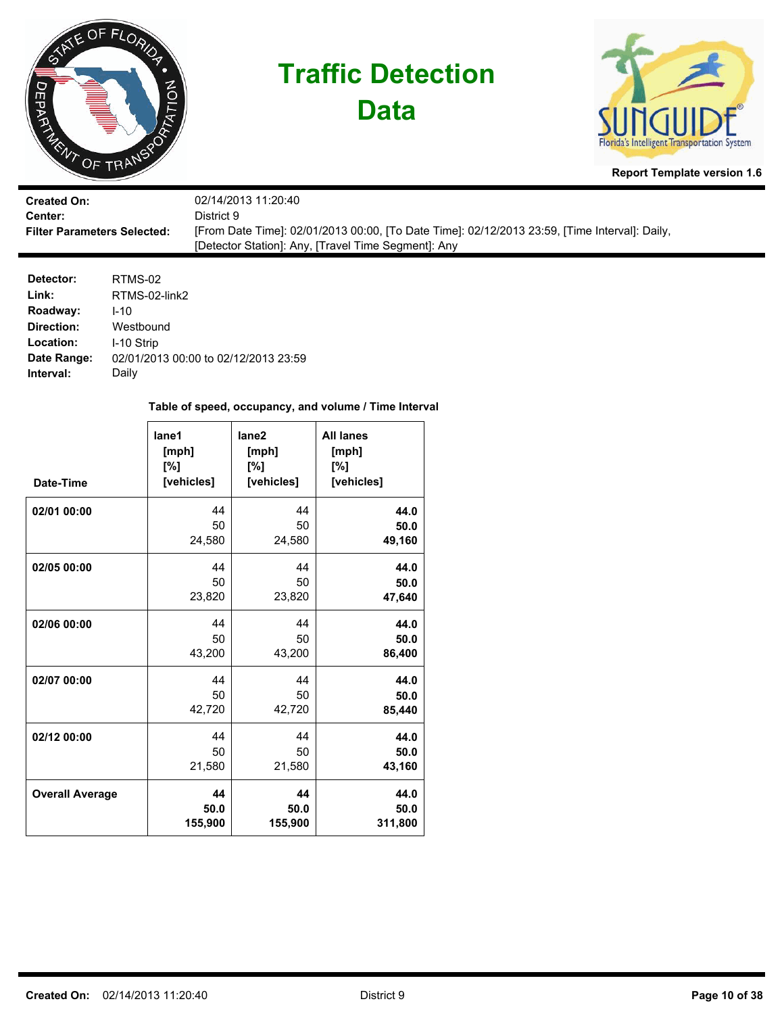

**Data**



**Report Template version 1.6**

| <b>Created On:</b>                 | 02/14/2013 11:20:40                                                                           |
|------------------------------------|-----------------------------------------------------------------------------------------------|
| <b>Center:</b>                     | District 9.                                                                                   |
| <b>Filter Parameters Selected:</b> | [From Date Time]: 02/01/2013 00:00, [To Date Time]: 02/12/2013 23:59, [Time Interval]: Daily, |
|                                    | [Detector Station]: Any, [Travel Time Segment]: Any                                           |

| Detector:   | RTMS-02                              |
|-------------|--------------------------------------|
| Link:       | RTMS-02-link2                        |
| Roadway:    | $1 - 10$                             |
| Direction:  | Westbound                            |
| Location:   | I-10 Strip                           |
| Date Range: | 02/01/2013 00:00 to 02/12/2013 23:59 |
| Interval:   | Daily                                |

| Date-Time              | lane1<br>[mph]<br>[%]<br>[vehicles] | lane <sub>2</sub><br>[mph]<br>[%]<br>[vehicles] | <b>All lanes</b><br>[mph]<br>[%]<br>[vehicles] |
|------------------------|-------------------------------------|-------------------------------------------------|------------------------------------------------|
| 02/01 00:00            | 44                                  | 44                                              | 44.0                                           |
|                        | 50                                  | 50                                              | 50.0                                           |
|                        | 24,580                              | 24,580                                          | 49,160                                         |
| 02/05 00:00            | 44                                  | 44                                              | 44.0                                           |
|                        | 50                                  | 50                                              | 50.0                                           |
|                        | 23,820                              | 23,820                                          | 47,640                                         |
| 02/06 00:00            | 44                                  | 44                                              | 44.0                                           |
|                        | 50                                  | 50                                              | 50.0                                           |
|                        | 43,200                              | 43,200                                          | 86,400                                         |
| 02/07 00:00            | 44                                  | 44                                              | 44.0                                           |
|                        | 50                                  | 50                                              | 50.0                                           |
|                        | 42,720                              | 42,720                                          | 85,440                                         |
| 02/12 00:00            | 44                                  | 44                                              | 44.0                                           |
|                        | 50                                  | 50                                              | 50.0                                           |
|                        | 21,580                              | 21,580                                          | 43,160                                         |
| <b>Overall Average</b> | 44                                  | 44                                              | 44.0                                           |
|                        | 50.0                                | 50.0                                            | 50.0                                           |
|                        | 155,900                             | 155,900                                         | 311,800                                        |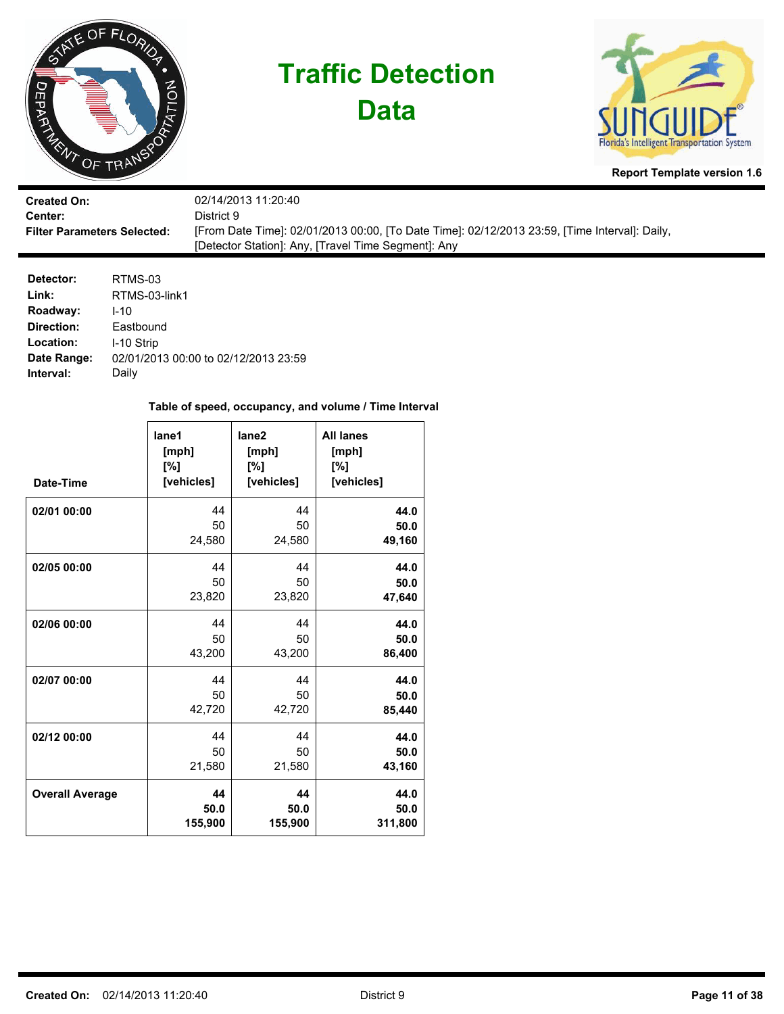

**Data**



**Report Template version 1.6**

| <b>Created On:</b>                 | 02/14/2013 11:20:40                                                                           |
|------------------------------------|-----------------------------------------------------------------------------------------------|
| Center:                            | District 9.                                                                                   |
| <b>Filter Parameters Selected:</b> | [From Date Time]: 02/01/2013 00:00, [To Date Time]: 02/12/2013 23:59, [Time Interval]: Daily, |
|                                    | [Detector Station]: Any, [Travel Time Segment]: Any                                           |

| Detector:   | RTMS-03                              |
|-------------|--------------------------------------|
| Link:       | RTMS-03-link1                        |
| Roadway:    | $1 - 10$                             |
| Direction:  | Eastbound                            |
| Location:   | I-10 Strip                           |
| Date Range: | 02/01/2013 00:00 to 02/12/2013 23:59 |
| Interval:   | Daily                                |

| Date-Time              | lane1<br>[mph]<br>[%]<br>[vehicles] | lane <sub>2</sub><br>[mph]<br>[%]<br>[vehicles] | <b>All lanes</b><br>[mph]<br>[%]<br>[vehicles] |
|------------------------|-------------------------------------|-------------------------------------------------|------------------------------------------------|
| 02/01 00:00            | 44                                  | 44                                              | 44.0                                           |
|                        | 50                                  | 50                                              | 50.0                                           |
|                        | 24,580                              | 24,580                                          | 49,160                                         |
| 02/05 00:00            | 44                                  | 44                                              | 44.0                                           |
|                        | 50                                  | 50                                              | 50.0                                           |
|                        | 23,820                              | 23,820                                          | 47,640                                         |
| 02/06 00:00            | 44                                  | 44                                              | 44.0                                           |
|                        | 50                                  | 50                                              | 50.0                                           |
|                        | 43,200                              | 43,200                                          | 86,400                                         |
| 02/07 00:00            | 44                                  | 44                                              | 44.0                                           |
|                        | 50                                  | 50                                              | 50.0                                           |
|                        | 42,720                              | 42,720                                          | 85,440                                         |
| 02/12 00:00            | 44                                  | 44                                              | 44.0                                           |
|                        | 50                                  | 50                                              | 50.0                                           |
|                        | 21,580                              | 21,580                                          | 43,160                                         |
| <b>Overall Average</b> | 44                                  | 44                                              | 44.0                                           |
|                        | 50.0                                | 50.0                                            | 50.0                                           |
|                        | 155,900                             | 155,900                                         | 311,800                                        |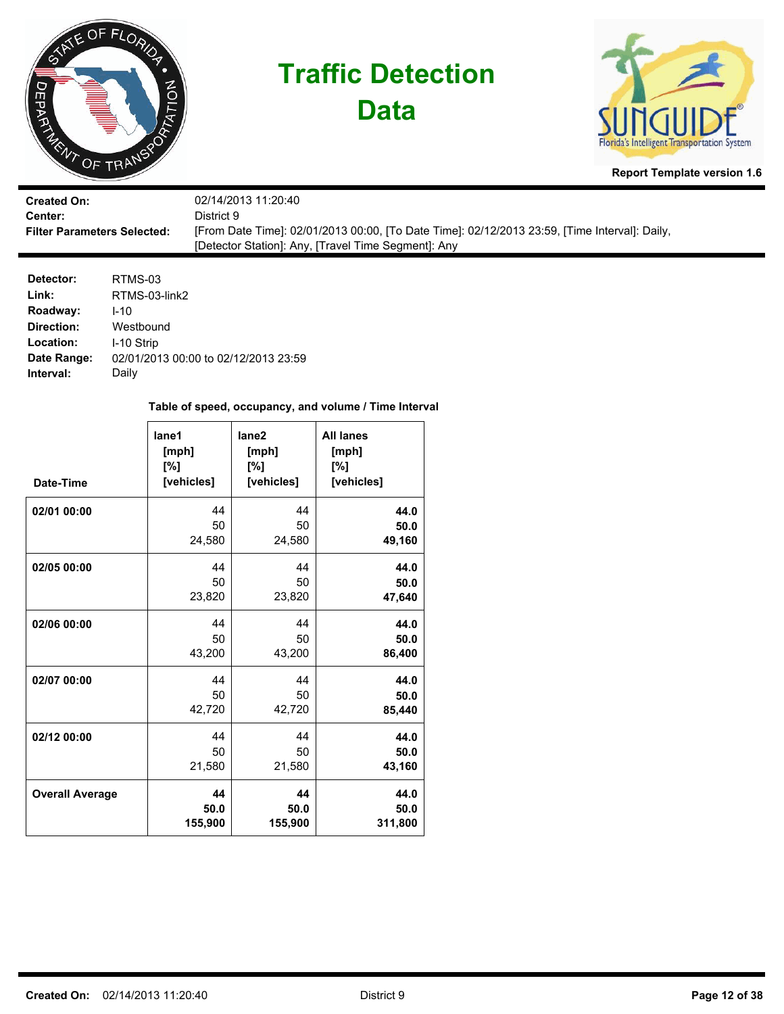

**Data**



**Report Template version 1.6**

| <b>Created On:</b>                 | 02/14/2013 11:20:40                                                                           |
|------------------------------------|-----------------------------------------------------------------------------------------------|
| Center:                            | District 9.                                                                                   |
| <b>Filter Parameters Selected:</b> | [From Date Time]: 02/01/2013 00:00, [To Date Time]: 02/12/2013 23:59, [Time Interval]: Daily, |
|                                    | [Detector Station]: Any, [Travel Time Segment]: Any                                           |

| Detector:   | RTMS-03                              |
|-------------|--------------------------------------|
| Link:       | RTMS-03-link2                        |
| Roadway:    | $1 - 10$                             |
| Direction:  | Westbound                            |
| Location:   | I-10 Strip                           |
| Date Range: | 02/01/2013 00:00 to 02/12/2013 23:59 |
| Interval:   | Daily                                |

| Date-Time              | lane1<br>[mph]<br>[%]<br>[vehicles] | lane <sub>2</sub><br>[mph]<br>[%]<br>[vehicles] | <b>All lanes</b><br>[mph]<br>[%]<br>[vehicles] |
|------------------------|-------------------------------------|-------------------------------------------------|------------------------------------------------|
| 02/01 00:00            | 44                                  | 44                                              | 44.0                                           |
|                        | 50                                  | 50                                              | 50.0                                           |
|                        | 24,580                              | 24,580                                          | 49,160                                         |
| 02/05 00:00            | 44                                  | 44                                              | 44.0                                           |
|                        | 50                                  | 50                                              | 50.0                                           |
|                        | 23,820                              | 23,820                                          | 47,640                                         |
| 02/06 00:00            | 44                                  | 44                                              | 44.0                                           |
|                        | 50                                  | 50                                              | 50.0                                           |
|                        | 43,200                              | 43,200                                          | 86,400                                         |
| 02/07 00:00            | 44                                  | 44                                              | 44.0                                           |
|                        | 50                                  | 50                                              | 50.0                                           |
|                        | 42,720                              | 42,720                                          | 85,440                                         |
| 02/12 00:00            | 44                                  | 44                                              | 44.0                                           |
|                        | 50                                  | 50                                              | 50.0                                           |
|                        | 21,580                              | 21,580                                          | 43,160                                         |
| <b>Overall Average</b> | 44                                  | 44                                              | 44.0                                           |
|                        | 50.0                                | 50.0                                            | 50.0                                           |
|                        | 155,900                             | 155,900                                         | 311,800                                        |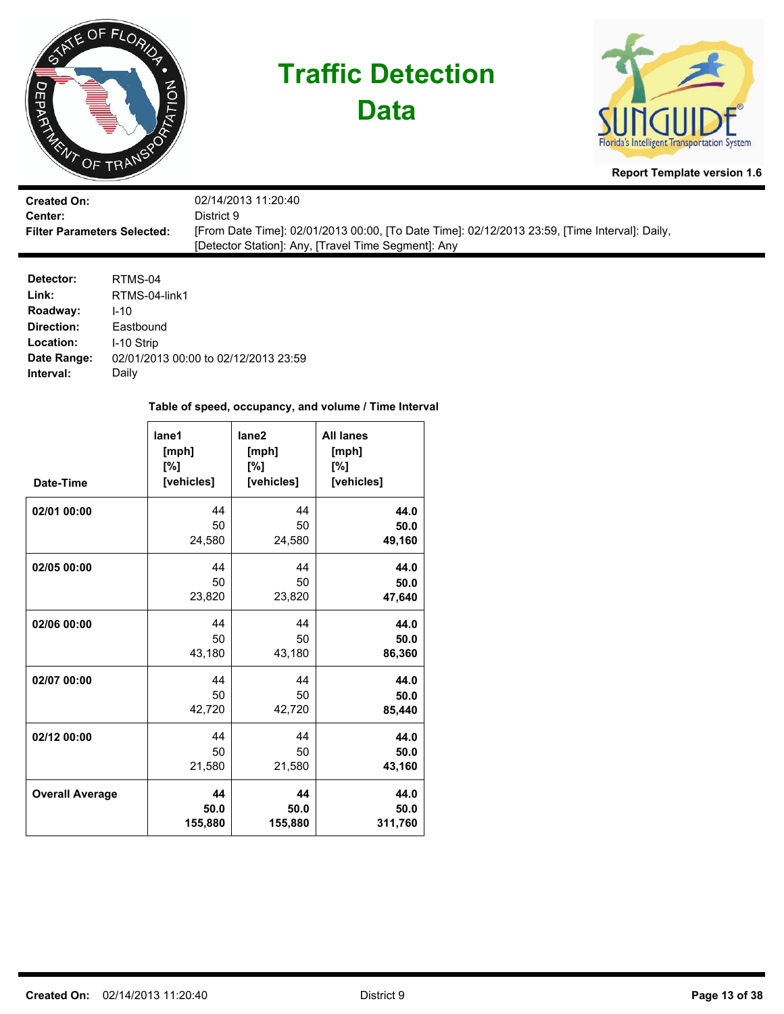

**Data**



**Report Template version 1.6**

| <b>Created On:</b>                 | 02/14/2013 11:20:40                                                                           |
|------------------------------------|-----------------------------------------------------------------------------------------------|
| Center:                            | District 9.                                                                                   |
| <b>Filter Parameters Selected:</b> | [From Date Time]: 02/01/2013 00:00, [To Date Time]: 02/12/2013 23:59, [Time Interval]: Daily, |
|                                    | [Detector Station]: Any, [Travel Time Segment]: Any                                           |

| Detector:   | RTMS-04                              |
|-------------|--------------------------------------|
| Link:       | RTMS-04-link1                        |
| Roadway:    | $1 - 10$                             |
| Direction:  | Eastbound                            |
| Location:   | I-10 Strip                           |
| Date Range: | 02/01/2013 00:00 to 02/12/2013 23:59 |
| Interval:   | Daily                                |

| Date-Time              | lane1<br>[mph]<br>[%]<br>[vehicles] | lane <sub>2</sub><br>[mph]<br>[%]<br>[vehicles] | <b>All lanes</b><br>[mph]<br>[%]<br>[vehicles] |
|------------------------|-------------------------------------|-------------------------------------------------|------------------------------------------------|
| 02/01 00:00            | 44                                  | 44                                              | 44.0                                           |
|                        | 50                                  | 50                                              | 50.0                                           |
|                        | 24,580                              | 24,580                                          | 49,160                                         |
| 02/05 00:00            | 44                                  | 44                                              | 44.0                                           |
|                        | 50                                  | 50                                              | 50.0                                           |
|                        | 23,820                              | 23,820                                          | 47,640                                         |
| 02/06 00:00            | 44                                  | 44                                              | 44.0                                           |
|                        | 50                                  | 50                                              | 50.0                                           |
|                        | 43,180                              | 43,180                                          | 86,360                                         |
| 02/07 00:00            | 44                                  | 44                                              | 44.0                                           |
|                        | 50                                  | 50                                              | 50.0                                           |
|                        | 42,720                              | 42,720                                          | 85,440                                         |
| 02/12 00:00            | 44                                  | 44                                              | 44.0                                           |
|                        | 50                                  | 50                                              | 50.0                                           |
|                        | 21,580                              | 21,580                                          | 43,160                                         |
| <b>Overall Average</b> | 44                                  | 44                                              | 44.0                                           |
|                        | 50.0                                | 50.0                                            | 50.0                                           |
|                        | 155,880                             | 155,880                                         | 311,760                                        |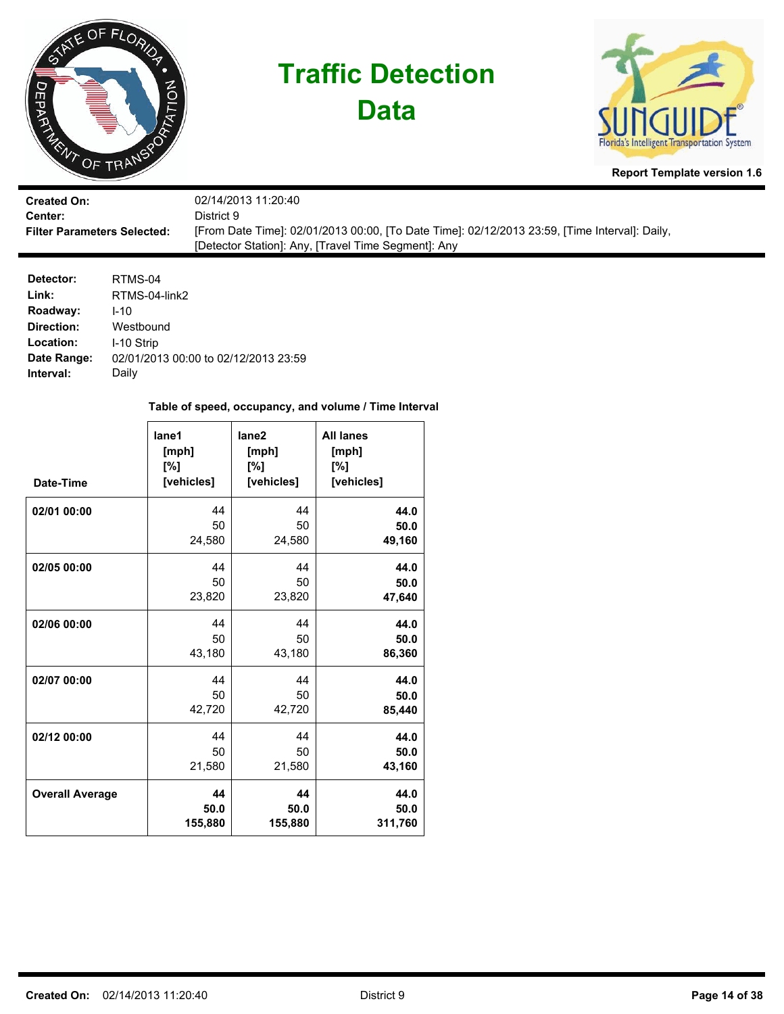

**Data**



**Report Template version 1.6**

| <b>Created On:</b>                 | 02/14/2013 11:20:40                                                                           |
|------------------------------------|-----------------------------------------------------------------------------------------------|
| Center:                            | District 9                                                                                    |
| <b>Filter Parameters Selected:</b> | [From Date Time]: 02/01/2013 00:00, [To Date Time]: 02/12/2013 23:59, [Time Interval]: Daily, |
|                                    | [Detector Station]: Any, [Travel Time Segment]: Any                                           |

| Detector:   | RTMS-04                              |
|-------------|--------------------------------------|
| Link:       | RTMS-04-link2                        |
| Roadway:    | $1 - 10$                             |
| Direction:  | Westbound                            |
| Location:   | I-10 Strip                           |
| Date Range: | 02/01/2013 00:00 to 02/12/2013 23:59 |
| Interval:   | Daily                                |

| Date-Time              | lane1<br>[mph]<br>[%]<br>[vehicles] | lane <sub>2</sub><br>[mph]<br>[%]<br>[vehicles] | <b>All lanes</b><br>[mph]<br>[%]<br>[vehicles] |
|------------------------|-------------------------------------|-------------------------------------------------|------------------------------------------------|
| 02/01 00:00            | 44                                  | 44                                              | 44.0                                           |
|                        | 50                                  | 50                                              | 50.0                                           |
|                        | 24,580                              | 24,580                                          | 49,160                                         |
| 02/05 00:00            | 44                                  | 44                                              | 44.0                                           |
|                        | 50                                  | 50                                              | 50.0                                           |
|                        | 23,820                              | 23,820                                          | 47,640                                         |
| 02/06 00:00            | 44                                  | 44                                              | 44.0                                           |
|                        | 50                                  | 50                                              | 50.0                                           |
|                        | 43,180                              | 43,180                                          | 86,360                                         |
| 02/07 00:00            | 44                                  | 44                                              | 44.0                                           |
|                        | 50                                  | 50                                              | 50.0                                           |
|                        | 42,720                              | 42,720                                          | 85,440                                         |
| 02/12 00:00            | 44                                  | 44                                              | 44.0                                           |
|                        | 50                                  | 50                                              | 50.0                                           |
|                        | 21,580                              | 21,580                                          | 43,160                                         |
| <b>Overall Average</b> | 44                                  | 44                                              | 44.0                                           |
|                        | 50.0                                | 50.0                                            | 50.0                                           |
|                        | 155,880                             | 155,880                                         | 311,760                                        |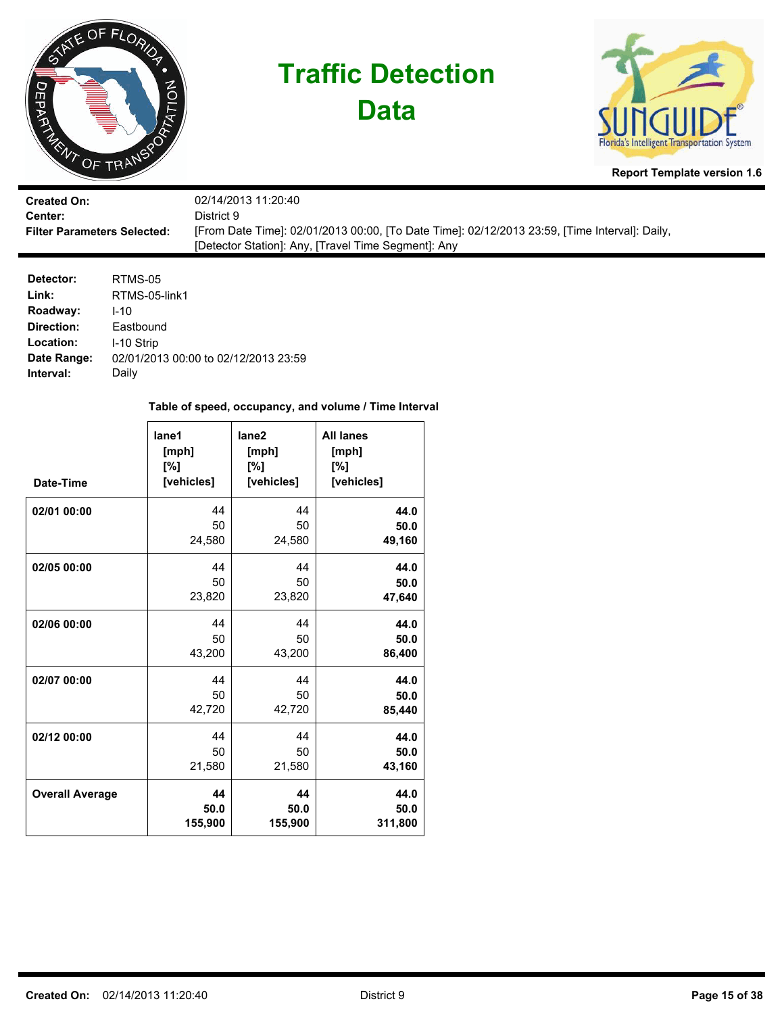

**Data**



**Report Template version 1.6**

| <b>Created On:</b>                 | 02/14/2013 11:20:40                                                                           |
|------------------------------------|-----------------------------------------------------------------------------------------------|
| Center:                            | District 9.                                                                                   |
| <b>Filter Parameters Selected:</b> | [From Date Time]: 02/01/2013 00:00, [To Date Time]: 02/12/2013 23:59, [Time Interval]: Daily, |
|                                    | [Detector Station]: Any, [Travel Time Segment]: Any                                           |

| Detector:   | RTMS-05                              |
|-------------|--------------------------------------|
| Link:       | RTMS-05-link1                        |
| Roadway:    | $1 - 10$                             |
| Direction:  | Eastbound                            |
| Location:   | I-10 Strip                           |
| Date Range: | 02/01/2013 00:00 to 02/12/2013 23:59 |
| Interval:   | Daily                                |

| Date-Time              | lane1<br>[mph]<br>[%]<br>[vehicles] | lane <sub>2</sub><br>[mph]<br>[%]<br>[vehicles] | <b>All lanes</b><br>[mph]<br>[%]<br>[vehicles] |
|------------------------|-------------------------------------|-------------------------------------------------|------------------------------------------------|
| 02/01 00:00            | 44                                  | 44                                              | 44.0                                           |
|                        | 50                                  | 50                                              | 50.0                                           |
|                        | 24,580                              | 24,580                                          | 49,160                                         |
| 02/05 00:00            | 44                                  | 44                                              | 44.0                                           |
|                        | 50                                  | 50                                              | 50.0                                           |
|                        | 23,820                              | 23,820                                          | 47,640                                         |
| 02/06 00:00            | 44                                  | 44                                              | 44.0                                           |
|                        | 50                                  | 50                                              | 50.0                                           |
|                        | 43,200                              | 43,200                                          | 86,400                                         |
| 02/07 00:00            | 44                                  | 44                                              | 44.0                                           |
|                        | 50                                  | 50                                              | 50.0                                           |
|                        | 42,720                              | 42,720                                          | 85,440                                         |
| 02/12 00:00            | 44                                  | 44                                              | 44.0                                           |
|                        | 50                                  | 50                                              | 50.0                                           |
|                        | 21,580                              | 21,580                                          | 43,160                                         |
| <b>Overall Average</b> | 44                                  | 44                                              | 44.0                                           |
|                        | 50.0                                | 50.0                                            | 50.0                                           |
|                        | 155,900                             | 155,900                                         | 311,800                                        |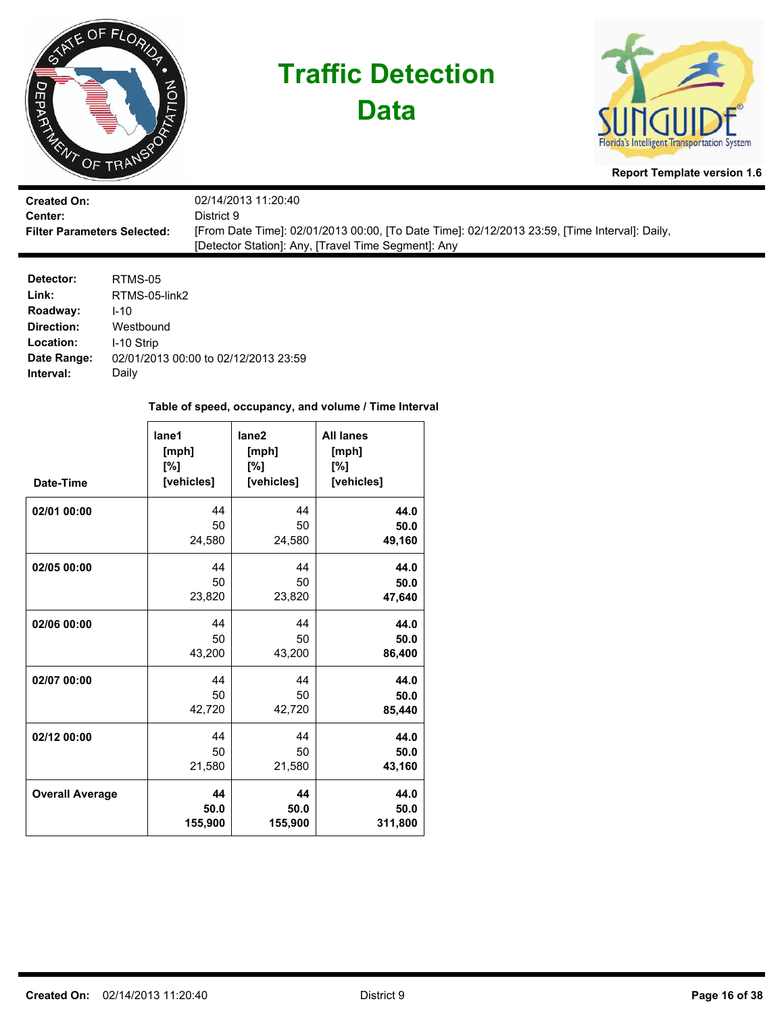

**Data**



**Report Template version 1.6**

| <b>Created On:</b>                 | 02/14/2013 11:20:40                                                                           |
|------------------------------------|-----------------------------------------------------------------------------------------------|
| Center:                            | District 9                                                                                    |
| <b>Filter Parameters Selected:</b> | [From Date Time]: 02/01/2013 00:00, [To Date Time]: 02/12/2013 23:59, [Time Interval]: Daily, |
|                                    | [Detector Station]: Any, [Travel Time Segment]: Any                                           |

| Detector:   | RTMS-05                              |
|-------------|--------------------------------------|
| Link:       | RTMS-05-link2                        |
| Roadway:    | $1 - 10$                             |
| Direction:  | Westbound                            |
| Location:   | I-10 Strip                           |
| Date Range: | 02/01/2013 00:00 to 02/12/2013 23:59 |
| Interval:   | Daily                                |

| Date-Time              | lane1<br>[mph]<br>[%]<br>[vehicles] | lane <sub>2</sub><br>[mph]<br>[%]<br>[vehicles] | <b>All lanes</b><br>[mph]<br>[%]<br>[vehicles] |
|------------------------|-------------------------------------|-------------------------------------------------|------------------------------------------------|
| 02/01 00:00            | 44                                  | 44                                              | 44.0                                           |
|                        | 50                                  | 50                                              | 50.0                                           |
|                        | 24,580                              | 24,580                                          | 49,160                                         |
| 02/05 00:00            | 44                                  | 44                                              | 44.0                                           |
|                        | 50                                  | 50                                              | 50.0                                           |
|                        | 23,820                              | 23,820                                          | 47,640                                         |
| 02/06 00:00            | 44                                  | 44                                              | 44.0                                           |
|                        | 50                                  | 50                                              | 50.0                                           |
|                        | 43,200                              | 43,200                                          | 86,400                                         |
| 02/07 00:00            | 44                                  | 44                                              | 44.0                                           |
|                        | 50                                  | 50                                              | 50.0                                           |
|                        | 42,720                              | 42,720                                          | 85,440                                         |
| 02/12 00:00            | 44                                  | 44                                              | 44.0                                           |
|                        | 50                                  | 50                                              | 50.0                                           |
|                        | 21,580                              | 21,580                                          | 43,160                                         |
| <b>Overall Average</b> | 44                                  | 44                                              | 44.0                                           |
|                        | 50.0                                | 50.0                                            | 50.0                                           |
|                        | 155,900                             | 155,900                                         | 311,800                                        |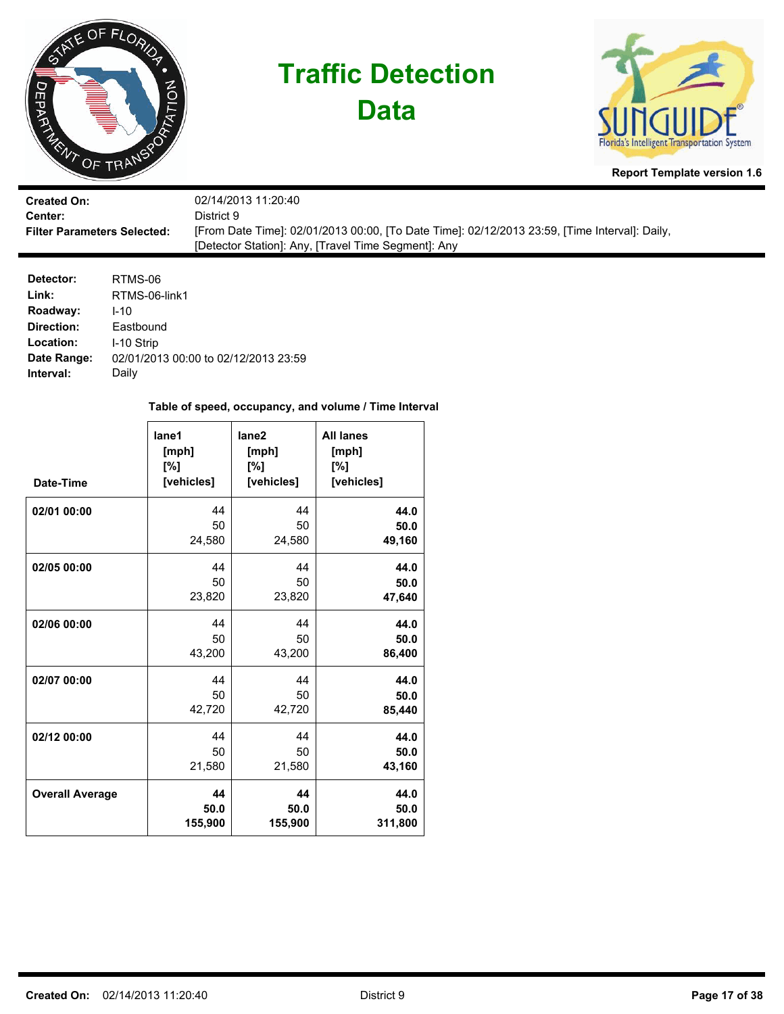

**Data**



**Report Template version 1.6**

| <b>Created On:</b>                 | 02/14/2013 11:20:40                                                                           |
|------------------------------------|-----------------------------------------------------------------------------------------------|
| Center:                            | District 9.                                                                                   |
| <b>Filter Parameters Selected:</b> | [From Date Time]: 02/01/2013 00:00, [To Date Time]: 02/12/2013 23:59, [Time Interval]: Daily, |
|                                    | [Detector Station]: Any, [Travel Time Segment]: Any                                           |

| Detector:   | RTMS-06                              |
|-------------|--------------------------------------|
| Link:       | RTMS-06-link1                        |
| Roadway:    | $1 - 10$                             |
| Direction:  | Eastbound                            |
| Location:   | I-10 Strip                           |
| Date Range: | 02/01/2013 00:00 to 02/12/2013 23:59 |
| Interval:   | Daily                                |

| Date-Time              | lane1<br>[mph]<br>[%]<br>[vehicles] | lane <sub>2</sub><br>[mph]<br>[%]<br>[vehicles] | <b>All lanes</b><br>[mph]<br>[%]<br>[vehicles] |
|------------------------|-------------------------------------|-------------------------------------------------|------------------------------------------------|
| 02/01 00:00            | 44                                  | 44                                              | 44.0                                           |
|                        | 50                                  | 50                                              | 50.0                                           |
|                        | 24,580                              | 24,580                                          | 49,160                                         |
| 02/05 00:00            | 44                                  | 44                                              | 44.0                                           |
|                        | 50                                  | 50                                              | 50.0                                           |
|                        | 23,820                              | 23,820                                          | 47,640                                         |
| 02/06 00:00            | 44                                  | 44                                              | 44.0                                           |
|                        | 50                                  | 50                                              | 50.0                                           |
|                        | 43,200                              | 43,200                                          | 86,400                                         |
| 02/07 00:00            | 44                                  | 44                                              | 44.0                                           |
|                        | 50                                  | 50                                              | 50.0                                           |
|                        | 42,720                              | 42,720                                          | 85,440                                         |
| 02/12 00:00            | 44                                  | 44                                              | 44.0                                           |
|                        | 50                                  | 50                                              | 50.0                                           |
|                        | 21,580                              | 21,580                                          | 43,160                                         |
| <b>Overall Average</b> | 44                                  | 44                                              | 44.0                                           |
|                        | 50.0                                | 50.0                                            | 50.0                                           |
|                        | 155,900                             | 155,900                                         | 311,800                                        |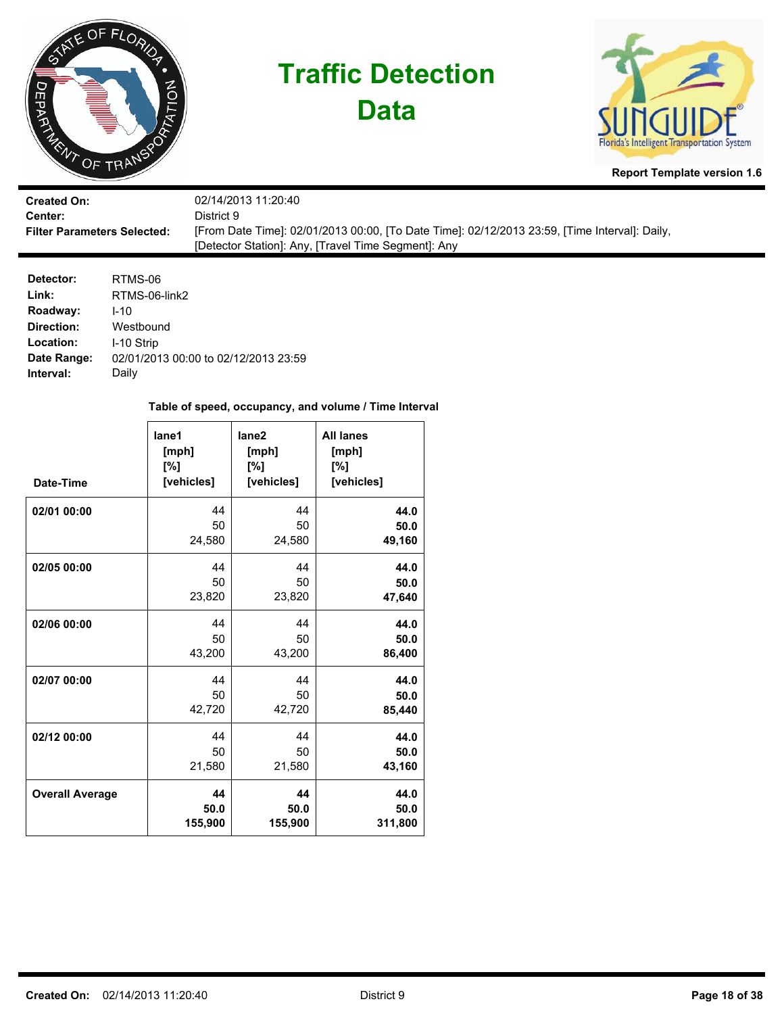

**Data**



**Report Template version 1.6**

| <b>Created On:</b>                 | 02/14/2013 11:20:40                                                                           |
|------------------------------------|-----------------------------------------------------------------------------------------------|
| Center:                            | District 9                                                                                    |
| <b>Filter Parameters Selected:</b> | [From Date Time]: 02/01/2013 00:00, [To Date Time]: 02/12/2013 23:59, [Time Interval]: Daily, |
|                                    | [Detector Station]: Any, [Travel Time Segment]: Any                                           |

| Detector:   | RTMS-06                              |
|-------------|--------------------------------------|
| Link:       | RTMS-06-link2                        |
| Roadway:    | $1 - 10$                             |
| Direction:  | Westbound                            |
| Location:   | I-10 Strip                           |
| Date Range: | 02/01/2013 00:00 to 02/12/2013 23:59 |
| Interval:   | Daily                                |

| Date-Time              | lane1<br>[mph]<br>[%]<br>[vehicles] | lane <sub>2</sub><br>[mph]<br>[%]<br>[vehicles] | <b>All lanes</b><br>[mph]<br>[%]<br>[vehicles] |
|------------------------|-------------------------------------|-------------------------------------------------|------------------------------------------------|
| 02/01 00:00            | 44                                  | 44                                              | 44.0                                           |
|                        | 50                                  | 50                                              | 50.0                                           |
|                        | 24,580                              | 24,580                                          | 49,160                                         |
| 02/05 00:00            | 44                                  | 44                                              | 44.0                                           |
|                        | 50                                  | 50                                              | 50.0                                           |
|                        | 23,820                              | 23,820                                          | 47,640                                         |
| 02/06 00:00            | 44                                  | 44                                              | 44.0                                           |
|                        | 50                                  | 50                                              | 50.0                                           |
|                        | 43,200                              | 43,200                                          | 86,400                                         |
| 02/07 00:00            | 44                                  | 44                                              | 44.0                                           |
|                        | 50                                  | 50                                              | 50.0                                           |
|                        | 42,720                              | 42,720                                          | 85,440                                         |
| 02/12 00:00            | 44                                  | 44                                              | 44.0                                           |
|                        | 50                                  | 50                                              | 50.0                                           |
|                        | 21,580                              | 21,580                                          | 43,160                                         |
| <b>Overall Average</b> | 44                                  | 44                                              | 44.0                                           |
|                        | 50.0                                | 50.0                                            | 50.0                                           |
|                        | 155,900                             | 155,900                                         | 311,800                                        |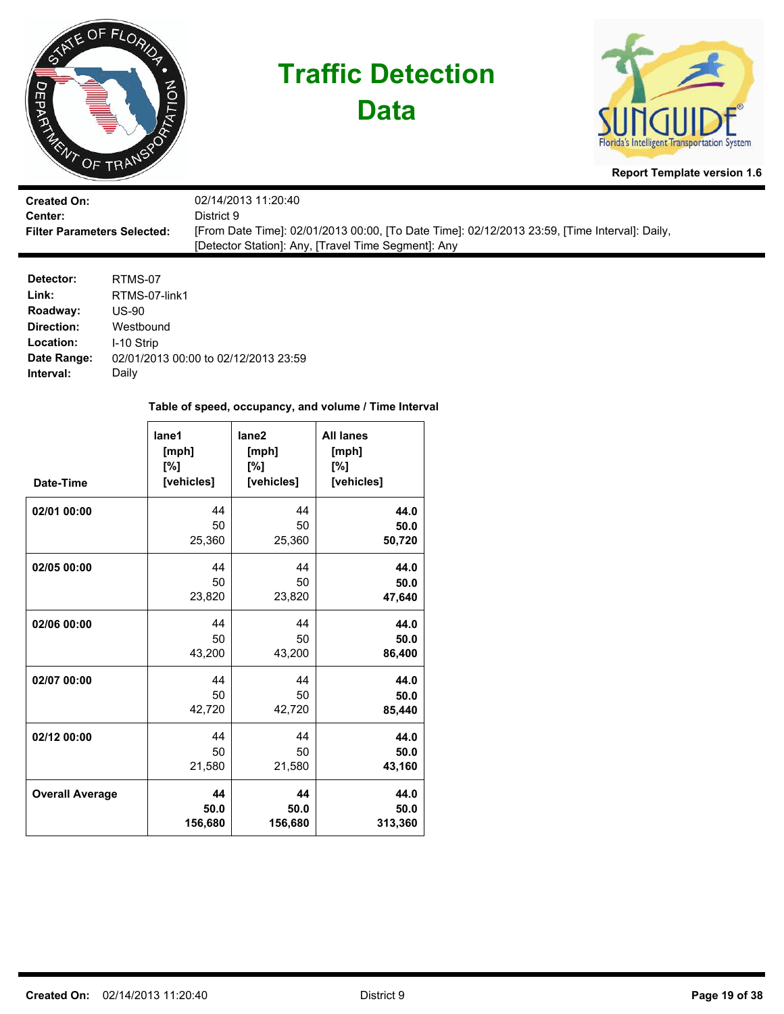

**Data**



**Report Template version 1.6**

| <b>Created On:</b>                 | 02/14/2013 11:20:40                                                                           |
|------------------------------------|-----------------------------------------------------------------------------------------------|
| Center:                            | District 9.                                                                                   |
| <b>Filter Parameters Selected:</b> | [From Date Time]: 02/01/2013 00:00, [To Date Time]: 02/12/2013 23:59, [Time Interval]: Daily, |
|                                    | [Detector Station]: Any, [Travel Time Segment]: Any                                           |

| Detector:   | RTMS-07                              |
|-------------|--------------------------------------|
| Link:       | RTMS-07-link1                        |
| Roadway:    | US-90                                |
| Direction:  | Westbound                            |
| Location:   | I-10 Strip                           |
| Date Range: | 02/01/2013 00:00 to 02/12/2013 23:59 |
| Interval:   | Daily                                |

| Date-Time              | lane1<br>[mph]<br>[%]<br>[vehicles] | lane <sub>2</sub><br>[mph]<br>[%]<br>[vehicles] | <b>All lanes</b><br>[mph]<br>[%]<br>[vehicles] |
|------------------------|-------------------------------------|-------------------------------------------------|------------------------------------------------|
| 02/01 00:00            | 44                                  | 44                                              | 44.0                                           |
|                        | 50                                  | 50                                              | 50.0                                           |
|                        | 25,360                              | 25,360                                          | 50,720                                         |
| 02/05 00:00            | 44                                  | 44                                              | 44.0                                           |
|                        | 50                                  | 50                                              | 50.0                                           |
|                        | 23,820                              | 23,820                                          | 47,640                                         |
| 02/06 00:00            | 44                                  | 44                                              | 44.0                                           |
|                        | 50                                  | 50                                              | 50.0                                           |
|                        | 43,200                              | 43,200                                          | 86,400                                         |
| 02/07 00:00            | 44                                  | 44                                              | 44.0                                           |
|                        | 50                                  | 50                                              | 50.0                                           |
|                        | 42,720                              | 42,720                                          | 85,440                                         |
| 02/12 00:00            | 44                                  | 44                                              | 44.0                                           |
|                        | 50                                  | 50                                              | 50.0                                           |
|                        | 21,580                              | 21,580                                          | 43,160                                         |
| <b>Overall Average</b> | 44                                  | 44                                              | 44.0                                           |
|                        | 50.0                                | 50.0                                            | 50.0                                           |
|                        | 156,680                             | 156,680                                         | 313,360                                        |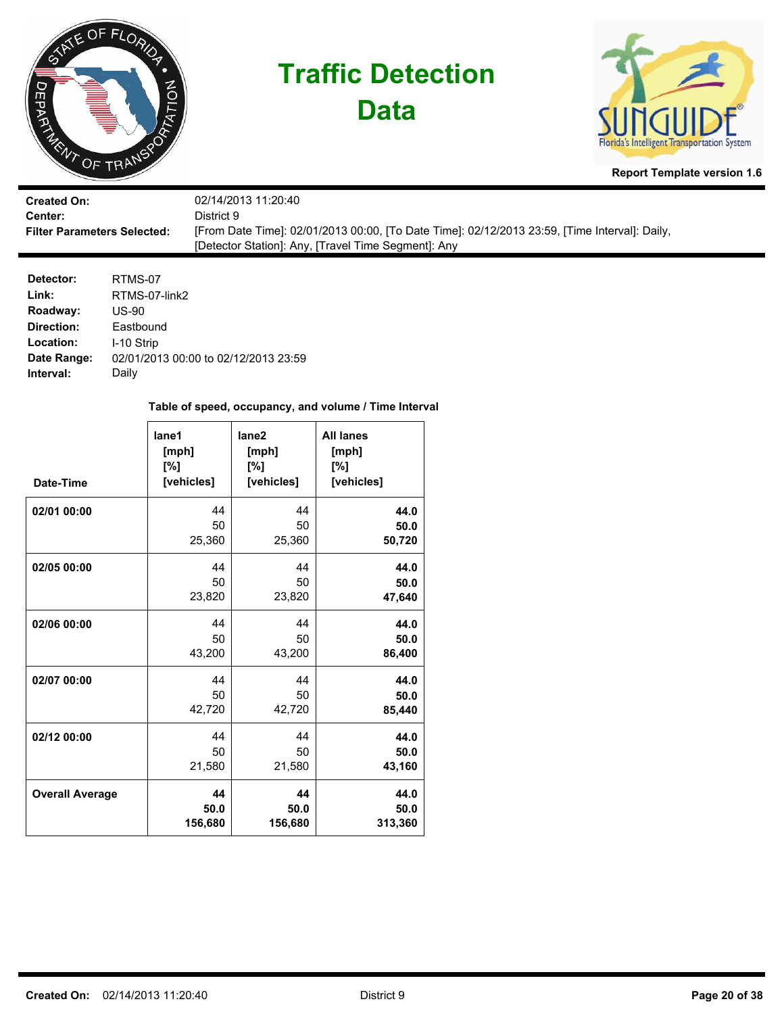

**Data**



**Report Template version 1.6**

| <b>Created On:</b>                 | 02/14/2013 11:20:40                                                                           |
|------------------------------------|-----------------------------------------------------------------------------------------------|
| Center:                            | District 9.                                                                                   |
| <b>Filter Parameters Selected:</b> | [From Date Time]: 02/01/2013 00:00, [To Date Time]: 02/12/2013 23:59, [Time Interval]: Daily, |
|                                    | [Detector Station]: Any, [Travel Time Segment]: Any                                           |

| Detector:   | RTMS-07                              |
|-------------|--------------------------------------|
| Link:       | RTMS-07-link2                        |
| Roadway:    | US-90                                |
| Direction:  | Eastbound                            |
| Location:   | I-10 Strip                           |
| Date Range: | 02/01/2013 00:00 to 02/12/2013 23:59 |
| Interval:   | Daily                                |

| Date-Time              | lane1<br>[mph]<br>[%]<br>[vehicles] | lane <sub>2</sub><br>[mph]<br>[%]<br>[vehicles] | <b>All lanes</b><br>[mph]<br>[%]<br>[vehicles] |
|------------------------|-------------------------------------|-------------------------------------------------|------------------------------------------------|
| 02/01 00:00            | 44                                  | 44                                              | 44.0                                           |
|                        | 50                                  | 50                                              | 50.0                                           |
|                        | 25,360                              | 25,360                                          | 50,720                                         |
| 02/05 00:00            | 44                                  | 44                                              | 44.0                                           |
|                        | 50                                  | 50                                              | 50.0                                           |
|                        | 23,820                              | 23,820                                          | 47,640                                         |
| 02/06 00:00            | 44                                  | 44                                              | 44.0                                           |
|                        | 50                                  | 50                                              | 50.0                                           |
|                        | 43,200                              | 43,200                                          | 86,400                                         |
| 02/07 00:00            | 44                                  | 44                                              | 44.0                                           |
|                        | 50                                  | 50                                              | 50.0                                           |
|                        | 42,720                              | 42,720                                          | 85,440                                         |
| 02/12 00:00            | 44                                  | 44                                              | 44.0                                           |
|                        | 50                                  | 50                                              | 50.0                                           |
|                        | 21,580                              | 21,580                                          | 43,160                                         |
| <b>Overall Average</b> | 44                                  | 44                                              | 44.0                                           |
|                        | 50.0                                | 50.0                                            | 50.0                                           |
|                        | 156,680                             | 156,680                                         | 313,360                                        |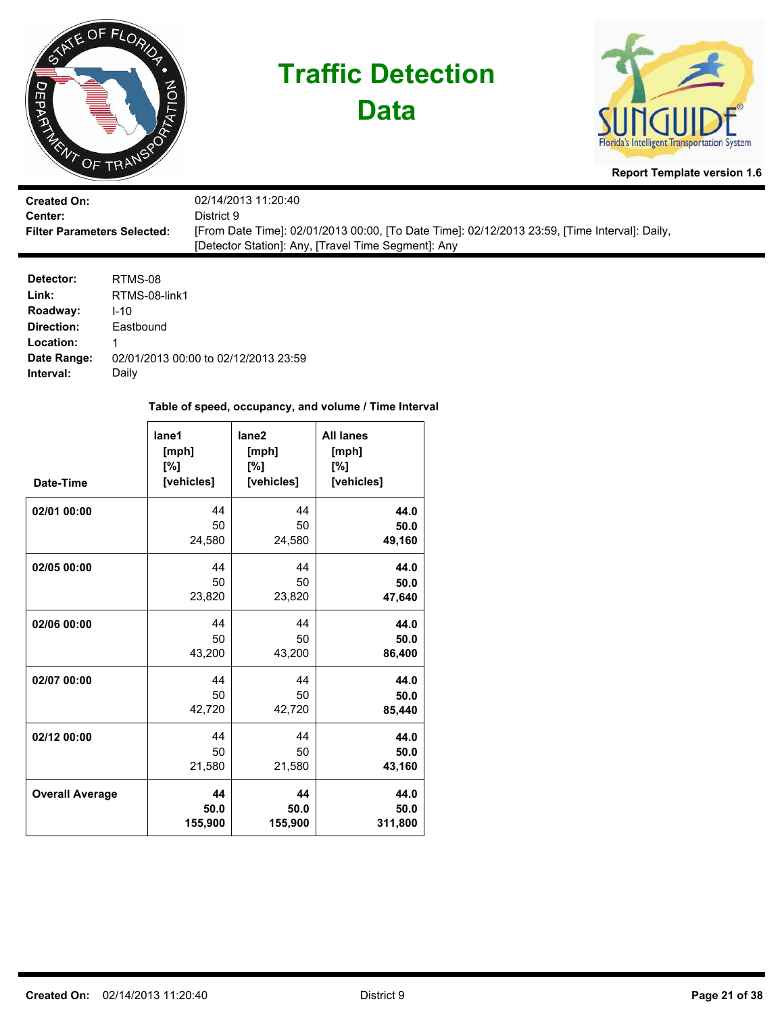

**Data**



**Report Template version 1.6**

| <b>Created On:</b>                 | 02/14/2013 11:20:40                                                                           |
|------------------------------------|-----------------------------------------------------------------------------------------------|
| <b>Center:</b>                     | District 9                                                                                    |
| <b>Filter Parameters Selected:</b> | [From Date Time]: 02/01/2013 00:00, [To Date Time]: 02/12/2013 23:59, [Time Interval]: Daily, |
|                                    | [Detector Station]: Any, [Travel Time Segment]: Any                                           |

| Detector:   | RTMS-08                              |
|-------------|--------------------------------------|
| Link:       | RTMS-08-link1                        |
| Roadway:    | $1 - 10$                             |
| Direction:  | Eastbound                            |
| Location:   | 1                                    |
| Date Range: | 02/01/2013 00:00 to 02/12/2013 23:59 |
| Interval:   | Daily                                |

| Date-Time              | lane1<br>[mph]<br>[%]<br>[vehicles] | lane <sub>2</sub><br>[mph]<br>[%]<br>[vehicles] | <b>All lanes</b><br>[mph]<br>[%]<br>[vehicles] |
|------------------------|-------------------------------------|-------------------------------------------------|------------------------------------------------|
| 02/01 00:00            | 44                                  | 44                                              | 44.0                                           |
|                        | 50                                  | 50                                              | 50.0                                           |
|                        | 24,580                              | 24,580                                          | 49,160                                         |
| 02/05 00:00            | 44                                  | 44                                              | 44.0                                           |
|                        | 50                                  | 50                                              | 50.0                                           |
|                        | 23,820                              | 23,820                                          | 47,640                                         |
| 02/06 00:00            | 44                                  | 44                                              | 44.0                                           |
|                        | 50                                  | 50                                              | 50.0                                           |
|                        | 43,200                              | 43,200                                          | 86,400                                         |
| 02/07 00:00            | 44                                  | 44                                              | 44.0                                           |
|                        | 50                                  | 50                                              | 50.0                                           |
|                        | 42,720                              | 42,720                                          | 85,440                                         |
| 02/12 00:00            | 44                                  | 44                                              | 44.0                                           |
|                        | 50                                  | 50                                              | 50.0                                           |
|                        | 21,580                              | 21,580                                          | 43,160                                         |
| <b>Overall Average</b> | 44                                  | 44                                              | 44.0                                           |
|                        | 50.0                                | 50.0                                            | 50.0                                           |
|                        | 155,900                             | 155,900                                         | 311,800                                        |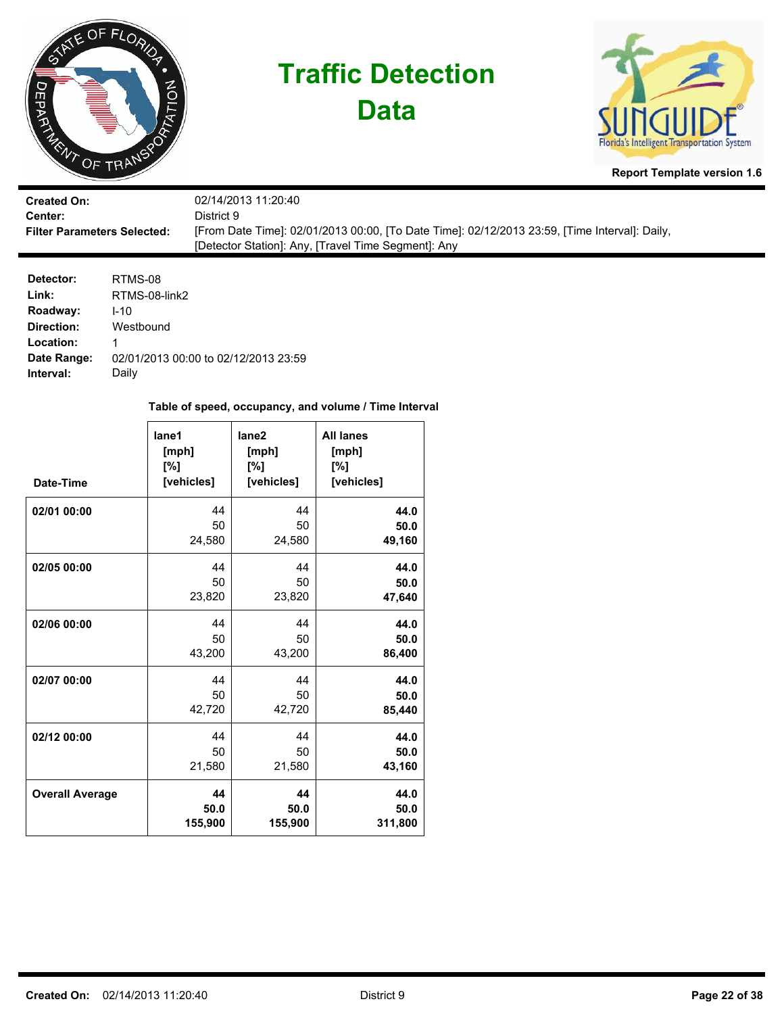

**Data**



**Report Template version 1.6**

| <b>Created On:</b>                 | 02/14/2013 11:20:40                                                                           |
|------------------------------------|-----------------------------------------------------------------------------------------------|
| <b>Center:</b>                     | District 9.                                                                                   |
| <b>Filter Parameters Selected:</b> | [From Date Time]: 02/01/2013 00:00, [To Date Time]: 02/12/2013 23:59, [Time Interval]: Daily, |
|                                    | [Detector Station]: Any, [Travel Time Segment]: Any                                           |

| Detector:   | RTMS-08                              |
|-------------|--------------------------------------|
| Link:       | RTMS-08-link2                        |
| Roadway:    | $1 - 10$                             |
| Direction:  | Westbound                            |
| Location:   | 1                                    |
| Date Range: | 02/01/2013 00:00 to 02/12/2013 23:59 |
| Interval:   | Daily                                |

| Date-Time              | lane1<br>[mph]<br>[%]<br>[vehicles] | lane <sub>2</sub><br>[mph]<br>[%]<br>[vehicles] | <b>All lanes</b><br>[mph]<br>[%]<br>[vehicles] |
|------------------------|-------------------------------------|-------------------------------------------------|------------------------------------------------|
| 02/01 00:00            | 44                                  | 44                                              | 44.0                                           |
|                        | 50                                  | 50                                              | 50.0                                           |
|                        | 24,580                              | 24,580                                          | 49,160                                         |
| 02/05 00:00            | 44                                  | 44                                              | 44.0                                           |
|                        | 50                                  | 50                                              | 50.0                                           |
|                        | 23,820                              | 23,820                                          | 47,640                                         |
| 02/06 00:00            | 44                                  | 44                                              | 44.0                                           |
|                        | 50                                  | 50                                              | 50.0                                           |
|                        | 43,200                              | 43,200                                          | 86,400                                         |
| 02/07 00:00            | 44                                  | 44                                              | 44.0                                           |
|                        | 50                                  | 50                                              | 50.0                                           |
|                        | 42,720                              | 42,720                                          | 85,440                                         |
| 02/12 00:00            | 44                                  | 44                                              | 44.0                                           |
|                        | 50                                  | 50                                              | 50.0                                           |
|                        | 21,580                              | 21,580                                          | 43,160                                         |
| <b>Overall Average</b> | 44                                  | 44                                              | 44.0                                           |
|                        | 50.0                                | 50.0                                            | 50.0                                           |
|                        | 155,900                             | 155,900                                         | 311,800                                        |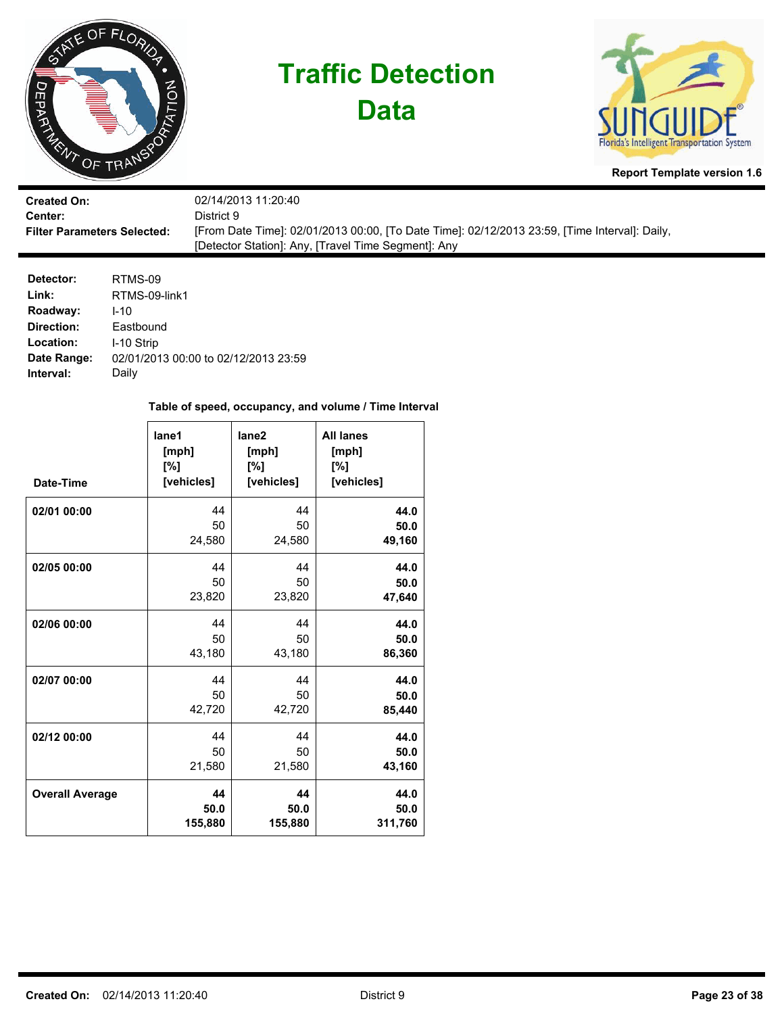

**Data**



**Report Template version 1.6**

| <b>Created On:</b>                 | 02/14/2013 11:20:40                                                                           |
|------------------------------------|-----------------------------------------------------------------------------------------------|
| Center:                            | District 9.                                                                                   |
| <b>Filter Parameters Selected:</b> | [From Date Time]: 02/01/2013 00:00, [To Date Time]: 02/12/2013 23:59, [Time Interval]: Daily, |
|                                    | [Detector Station]: Any, [Travel Time Segment]: Any                                           |

| Detector:   | RTMS-09                              |
|-------------|--------------------------------------|
| Link:       | RTMS-09-link1                        |
| Roadway:    | $1 - 10$                             |
| Direction:  | Eastbound                            |
| Location:   | I-10 Strip                           |
| Date Range: | 02/01/2013 00:00 to 02/12/2013 23:59 |
| Interval:   | Daily                                |

| Date-Time              | lane1<br>[mph]<br>[%]<br>[vehicles] | lane <sub>2</sub><br>[mph]<br>[%]<br>[vehicles] | <b>All lanes</b><br>[mph]<br>[%]<br>[vehicles] |
|------------------------|-------------------------------------|-------------------------------------------------|------------------------------------------------|
| 02/01 00:00            | 44                                  | 44                                              | 44.0                                           |
|                        | 50                                  | 50                                              | 50.0                                           |
|                        | 24,580                              | 24,580                                          | 49,160                                         |
| 02/05 00:00            | 44                                  | 44                                              | 44.0                                           |
|                        | 50                                  | 50                                              | 50.0                                           |
|                        | 23,820                              | 23,820                                          | 47,640                                         |
| 02/06 00:00            | 44                                  | 44                                              | 44.0                                           |
|                        | 50                                  | 50                                              | 50.0                                           |
|                        | 43,180                              | 43,180                                          | 86,360                                         |
| 02/07 00:00            | 44                                  | 44                                              | 44.0                                           |
|                        | 50                                  | 50                                              | 50.0                                           |
|                        | 42,720                              | 42,720                                          | 85,440                                         |
| 02/12 00:00            | 44                                  | 44                                              | 44.0                                           |
|                        | 50                                  | 50                                              | 50.0                                           |
|                        | 21,580                              | 21,580                                          | 43,160                                         |
| <b>Overall Average</b> | 44                                  | 44                                              | 44.0                                           |
|                        | 50.0                                | 50.0                                            | 50.0                                           |
|                        | 155,880                             | 155,880                                         | 311,760                                        |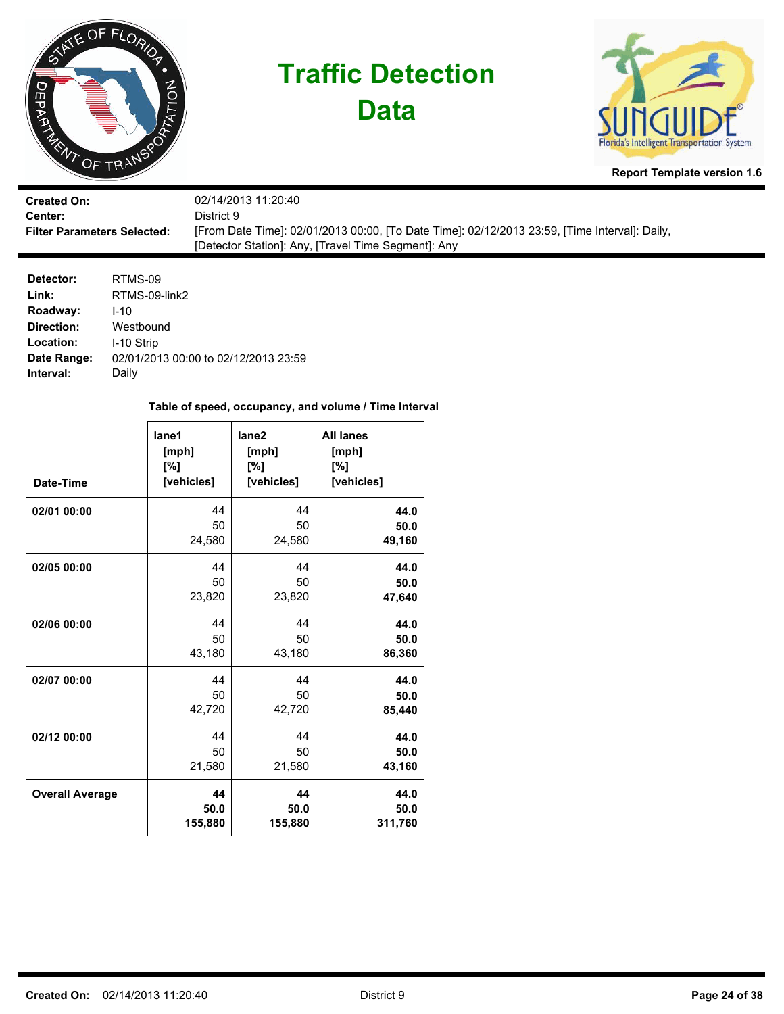

**Data**



**Report Template version 1.6**

| <b>Created On:</b>                 | 02/14/2013 11:20:40                                                                           |
|------------------------------------|-----------------------------------------------------------------------------------------------|
| <b>Center:</b>                     | District 9.                                                                                   |
| <b>Filter Parameters Selected:</b> | [From Date Time]: 02/01/2013 00:00, [To Date Time]: 02/12/2013 23:59, [Time Interval]: Daily, |
|                                    | [Detector Station]: Any, [Travel Time Segment]: Any                                           |

| Detector:   | RTMS-09                              |
|-------------|--------------------------------------|
| Link:       | RTMS-09-link2                        |
| Roadway:    | $1 - 10$                             |
| Direction:  | Westbound                            |
| Location:   | I-10 Strip                           |
| Date Range: | 02/01/2013 00:00 to 02/12/2013 23:59 |
| Interval:   | Daily                                |

| Date-Time              | lane1<br>[mph]<br>[%]<br>[vehicles] | lane <sub>2</sub><br>[mph]<br>[%]<br>[vehicles] | <b>All lanes</b><br>[mph]<br>[%]<br>[vehicles] |
|------------------------|-------------------------------------|-------------------------------------------------|------------------------------------------------|
| 02/01 00:00            | 44                                  | 44                                              | 44.0                                           |
|                        | 50                                  | 50                                              | 50.0                                           |
|                        | 24,580                              | 24,580                                          | 49,160                                         |
| 02/05 00:00            | 44                                  | 44                                              | 44.0                                           |
|                        | 50                                  | 50                                              | 50.0                                           |
|                        | 23,820                              | 23,820                                          | 47,640                                         |
| 02/06 00:00            | 44                                  | 44                                              | 44.0                                           |
|                        | 50                                  | 50                                              | 50.0                                           |
|                        | 43,180                              | 43,180                                          | 86,360                                         |
| 02/07 00:00            | 44                                  | 44                                              | 44.0                                           |
|                        | 50                                  | 50                                              | 50.0                                           |
|                        | 42,720                              | 42,720                                          | 85,440                                         |
| 02/12 00:00            | 44                                  | 44                                              | 44.0                                           |
|                        | 50                                  | 50                                              | 50.0                                           |
|                        | 21,580                              | 21,580                                          | 43,160                                         |
| <b>Overall Average</b> | 44                                  | 44                                              | 44.0                                           |
|                        | 50.0                                | 50.0                                            | 50.0                                           |
|                        | 155,880                             | 155,880                                         | 311,760                                        |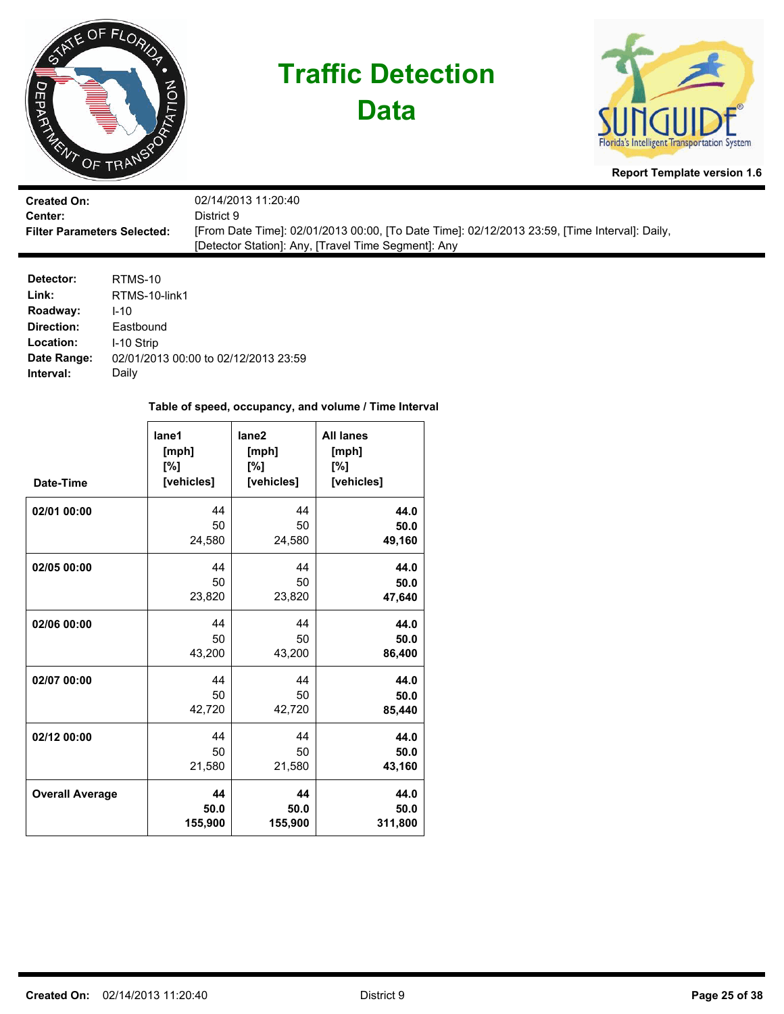

**Data**



**Report Template version 1.6**

| <b>Created On:</b>                 | 02/14/2013 11:20:40                                                                           |
|------------------------------------|-----------------------------------------------------------------------------------------------|
| Center:                            | District 9.                                                                                   |
| <b>Filter Parameters Selected:</b> | [From Date Time]: 02/01/2013 00:00, [To Date Time]: 02/12/2013 23:59, [Time Interval]: Daily, |
|                                    | [Detector Station]: Any, [Travel Time Segment]: Any                                           |

| Detector:   | RTMS-10                              |
|-------------|--------------------------------------|
| Link:       | RTMS-10-link1                        |
| Roadway:    | $1 - 10$                             |
| Direction:  | Eastbound                            |
| Location:   | I-10 Strip                           |
| Date Range: | 02/01/2013 00:00 to 02/12/2013 23:59 |
| Interval:   | Daily                                |

| Date-Time              | lane1<br>[mph]<br>[%]<br>[vehicles] | lane <sub>2</sub><br>[mph]<br>[%]<br>[vehicles] | <b>All lanes</b><br>[mph]<br>[%]<br>[vehicles] |
|------------------------|-------------------------------------|-------------------------------------------------|------------------------------------------------|
| 02/01 00:00            | 44                                  | 44                                              | 44.0                                           |
|                        | 50                                  | 50                                              | 50.0                                           |
|                        | 24,580                              | 24,580                                          | 49,160                                         |
| 02/05 00:00            | 44                                  | 44                                              | 44.0                                           |
|                        | 50                                  | 50                                              | 50.0                                           |
|                        | 23,820                              | 23,820                                          | 47,640                                         |
| 02/06 00:00            | 44                                  | 44                                              | 44.0                                           |
|                        | 50                                  | 50                                              | 50.0                                           |
|                        | 43,200                              | 43,200                                          | 86,400                                         |
| 02/07 00:00            | 44                                  | 44                                              | 44.0                                           |
|                        | 50                                  | 50                                              | 50.0                                           |
|                        | 42,720                              | 42,720                                          | 85,440                                         |
| 02/12 00:00            | 44                                  | 44                                              | 44.0                                           |
|                        | 50                                  | 50                                              | 50.0                                           |
|                        | 21,580                              | 21,580                                          | 43,160                                         |
| <b>Overall Average</b> | 44                                  | 44                                              | 44.0                                           |
|                        | 50.0                                | 50.0                                            | 50.0                                           |
|                        | 155,900                             | 155,900                                         | 311,800                                        |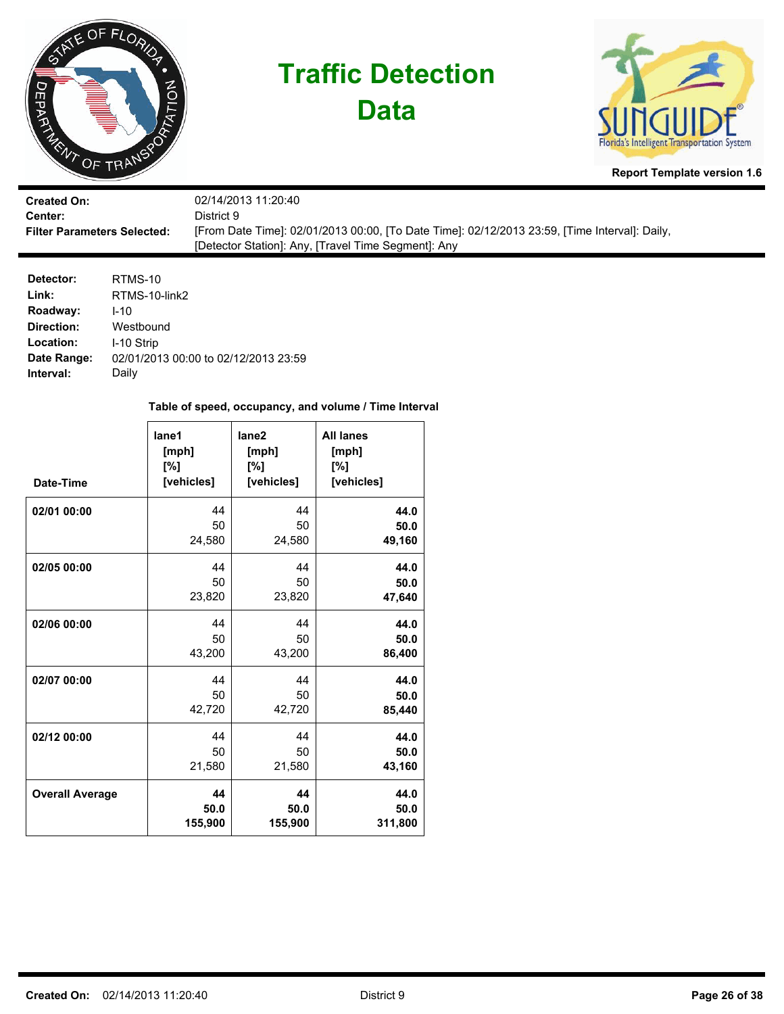

**Data**



**Report Template version 1.6**

| <b>Created On:</b>                 | 02/14/2013 11:20:40                                                                           |
|------------------------------------|-----------------------------------------------------------------------------------------------|
| <b>Center:</b>                     | District 9.                                                                                   |
| <b>Filter Parameters Selected:</b> | [From Date Time]: 02/01/2013 00:00, [To Date Time]: 02/12/2013 23:59, [Time Interval]: Daily, |
|                                    | [Detector Station]: Any, [Travel Time Segment]: Any                                           |

| Detector:   | RTMS-10                              |
|-------------|--------------------------------------|
| Link:       | RTMS-10-link2                        |
| Roadway:    | $1 - 10$                             |
| Direction:  | Westbound                            |
| Location:   | I-10 Strip                           |
| Date Range: | 02/01/2013 00:00 to 02/12/2013 23:59 |
| Interval:   | Daily                                |

| Date-Time              | lane1<br>[mph]<br>[%]<br>[vehicles] | lane <sub>2</sub><br>[mph]<br>[%]<br>[vehicles] | <b>All lanes</b><br>[mph]<br>[%]<br>[vehicles] |
|------------------------|-------------------------------------|-------------------------------------------------|------------------------------------------------|
| 02/01 00:00            | 44                                  | 44                                              | 44.0                                           |
|                        | 50                                  | 50                                              | 50.0                                           |
|                        | 24,580                              | 24,580                                          | 49,160                                         |
| 02/05 00:00            | 44                                  | 44                                              | 44.0                                           |
|                        | 50                                  | 50                                              | 50.0                                           |
|                        | 23,820                              | 23,820                                          | 47,640                                         |
| 02/06 00:00            | 44                                  | 44                                              | 44.0                                           |
|                        | 50                                  | 50                                              | 50.0                                           |
|                        | 43,200                              | 43,200                                          | 86,400                                         |
| 02/07 00:00            | 44                                  | 44                                              | 44.0                                           |
|                        | 50                                  | 50                                              | 50.0                                           |
|                        | 42,720                              | 42,720                                          | 85,440                                         |
| 02/12 00:00            | 44                                  | 44                                              | 44.0                                           |
|                        | 50                                  | 50                                              | 50.0                                           |
|                        | 21,580                              | 21,580                                          | 43,160                                         |
| <b>Overall Average</b> | 44                                  | 44                                              | 44.0                                           |
|                        | 50.0                                | 50.0                                            | 50.0                                           |
|                        | 155,900                             | 155,900                                         | 311,800                                        |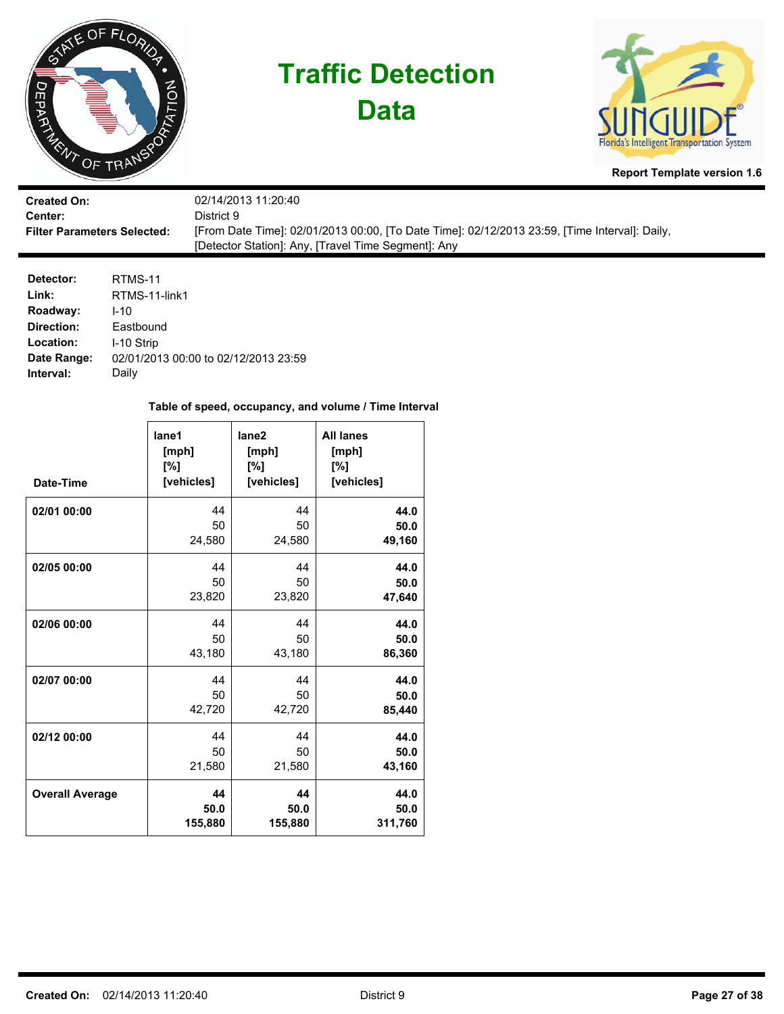

**Data**



**Report Template version 1.6**

| <b>Created On:</b>                 | 02/14/2013 11:20:40                                                                           |
|------------------------------------|-----------------------------------------------------------------------------------------------|
| <b>Center:</b>                     | District 9.                                                                                   |
| <b>Filter Parameters Selected:</b> | [From Date Time]: 02/01/2013 00:00, [To Date Time]: 02/12/2013 23:59, [Time Interval]: Daily, |
|                                    | [Detector Station]: Any, [Travel Time Segment]: Any                                           |

| RTMS-11                              |
|--------------------------------------|
| RTMS-11-link1                        |
| $1 - 10$                             |
| Eastbound                            |
| I-10 Strip                           |
| 02/01/2013 00:00 to 02/12/2013 23:59 |
| Daily                                |
|                                      |

| Date-Time              | lane1<br>[mph]<br>[%]<br>[vehicles] | lane <sub>2</sub><br>[mph]<br>[%]<br>[vehicles] | <b>All lanes</b><br>[mph]<br>[%]<br>[vehicles] |
|------------------------|-------------------------------------|-------------------------------------------------|------------------------------------------------|
| 02/01 00:00            | 44                                  | 44                                              | 44.0                                           |
|                        | 50                                  | 50                                              | 50.0                                           |
|                        | 24,580                              | 24,580                                          | 49,160                                         |
| 02/05 00:00            | 44                                  | 44                                              | 44.0                                           |
|                        | 50                                  | 50                                              | 50.0                                           |
|                        | 23,820                              | 23,820                                          | 47,640                                         |
| 02/06 00:00            | 44                                  | 44                                              | 44.0                                           |
|                        | 50                                  | 50                                              | 50.0                                           |
|                        | 43,180                              | 43,180                                          | 86,360                                         |
| 02/07 00:00            | 44                                  | 44                                              | 44.0                                           |
|                        | 50                                  | 50                                              | 50.0                                           |
|                        | 42,720                              | 42,720                                          | 85,440                                         |
| 02/12 00:00            | 44                                  | 44                                              | 44.0                                           |
|                        | 50                                  | 50                                              | 50.0                                           |
|                        | 21,580                              | 21,580                                          | 43,160                                         |
| <b>Overall Average</b> | 44                                  | 44                                              | 44.0                                           |
|                        | 50.0                                | 50.0                                            | 50.0                                           |
|                        | 155,880                             | 155,880                                         | 311,760                                        |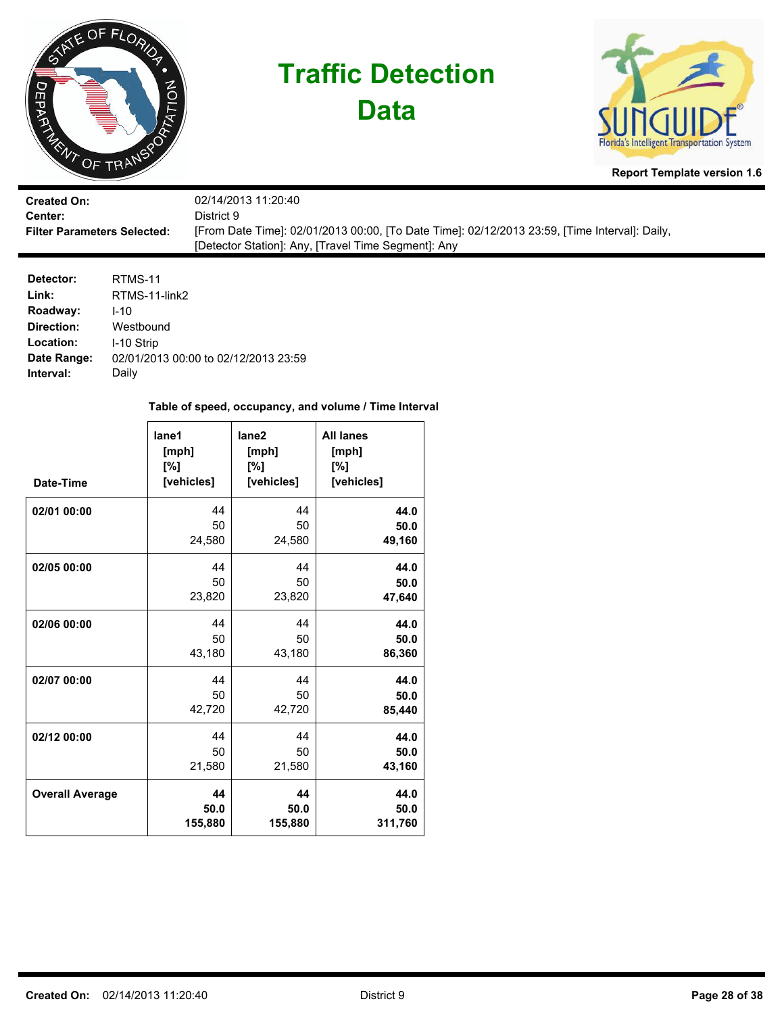

**Data**



**Report Template version 1.6**

| <b>Created On:</b>                 | 02/14/2013 11:20:40                                                                           |
|------------------------------------|-----------------------------------------------------------------------------------------------|
| Center:                            | District 9                                                                                    |
| <b>Filter Parameters Selected:</b> | [From Date Time]: 02/01/2013 00:00, [To Date Time]: 02/12/2013 23:59, [Time Interval]: Daily, |
|                                    | [Detector Station]: Any, [Travel Time Segment]: Any                                           |

| RTMS-11                              |
|--------------------------------------|
| RTMS-11-link2                        |
| $1 - 10$                             |
| Westbound                            |
| I-10 Strip                           |
| 02/01/2013 00:00 to 02/12/2013 23:59 |
| Daily                                |
|                                      |

| Date-Time              | lane1<br>[mph]<br>[%]<br>[vehicles] | lane2<br>[mph]<br>[%]<br>[vehicles] | <b>All lanes</b><br>[mph]<br>[%]<br>[vehicles] |
|------------------------|-------------------------------------|-------------------------------------|------------------------------------------------|
| 02/01 00:00            | 44                                  | 44                                  | 44.0                                           |
|                        | 50                                  | 50                                  | 50.0                                           |
|                        | 24,580                              | 24,580                              | 49,160                                         |
| 02/05 00:00            | 44                                  | 44                                  | 44.0                                           |
|                        | 50                                  | 50                                  | 50.0                                           |
|                        | 23,820                              | 23,820                              | 47,640                                         |
| 02/06 00:00            | 44                                  | 44                                  | 44.0                                           |
|                        | 50                                  | 50                                  | 50.0                                           |
|                        | 43,180                              | 43,180                              | 86,360                                         |
| 02/07 00:00            | 44                                  | 44                                  | 44.0                                           |
|                        | 50                                  | 50                                  | 50.0                                           |
|                        | 42,720                              | 42,720                              | 85,440                                         |
| 02/12 00:00            | 44                                  | 44                                  | 44.0                                           |
|                        | 50                                  | 50                                  | 50.0                                           |
|                        | 21,580                              | 21,580                              | 43,160                                         |
| <b>Overall Average</b> | 44                                  | 44                                  | 44.0                                           |
|                        | 50.0                                | 50.0                                | 50.0                                           |
|                        | 155,880                             | 155,880                             | 311,760                                        |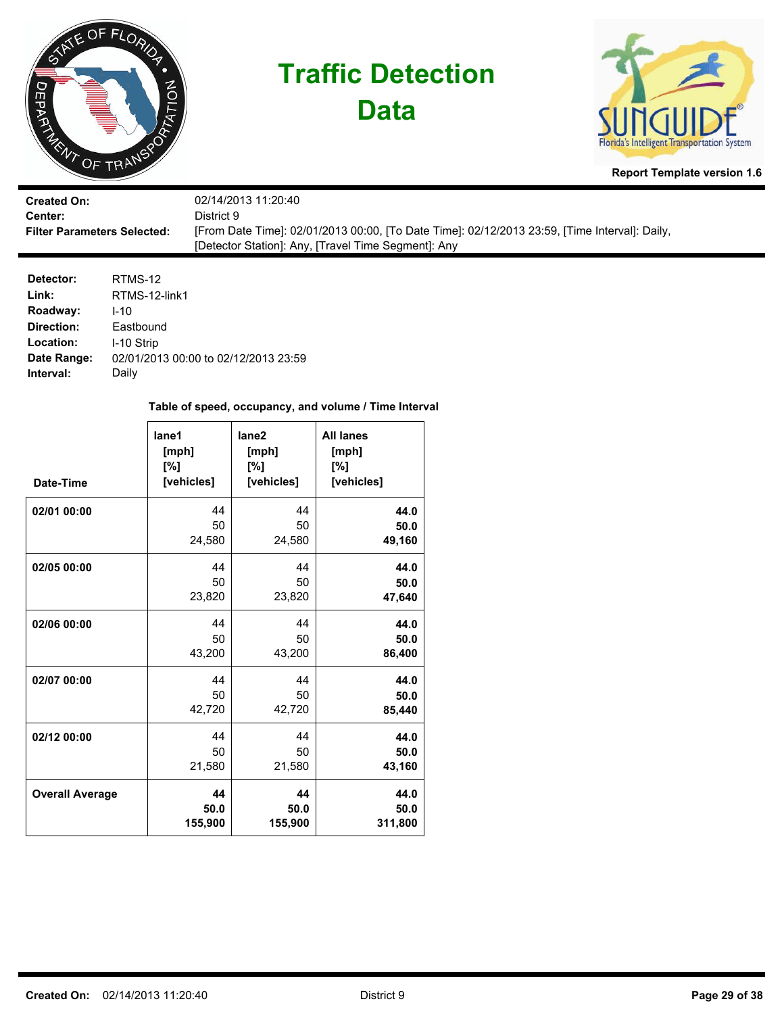

**Data**



**Report Template version 1.6**

| <b>Created On:</b>                 | 02/14/2013 11:20:40                                                                           |
|------------------------------------|-----------------------------------------------------------------------------------------------|
| Center:                            | District 9.                                                                                   |
| <b>Filter Parameters Selected:</b> | [From Date Time]: 02/01/2013 00:00, [To Date Time]: 02/12/2013 23:59, [Time Interval]: Daily, |
|                                    | [Detector Station]: Any, [Travel Time Segment]: Any                                           |

| RTMS-12                              |
|--------------------------------------|
| RTMS-12-link1                        |
| $1 - 10$                             |
| Eastbound                            |
| I-10 Strip                           |
| 02/01/2013 00:00 to 02/12/2013 23:59 |
| Daily                                |
|                                      |

| Date-Time              | lane1<br>[mph]<br>[%]<br>[vehicles] | lane <sub>2</sub><br>[mph]<br>[%]<br>[vehicles] | <b>All lanes</b><br>[mph]<br>[%]<br>[vehicles] |
|------------------------|-------------------------------------|-------------------------------------------------|------------------------------------------------|
| 02/01 00:00            | 44                                  | 44                                              | 44.0                                           |
|                        | 50                                  | 50                                              | 50.0                                           |
|                        | 24,580                              | 24,580                                          | 49,160                                         |
| 02/05 00:00            | 44                                  | 44                                              | 44.0                                           |
|                        | 50                                  | 50                                              | 50.0                                           |
|                        | 23,820                              | 23,820                                          | 47,640                                         |
| 02/06 00:00            | 44                                  | 44                                              | 44.0                                           |
|                        | 50                                  | 50                                              | 50.0                                           |
|                        | 43,200                              | 43,200                                          | 86,400                                         |
| 02/07 00:00            | 44                                  | 44                                              | 44.0                                           |
|                        | 50                                  | 50                                              | 50.0                                           |
|                        | 42,720                              | 42,720                                          | 85,440                                         |
| 02/12 00:00            | 44                                  | 44                                              | 44.0                                           |
|                        | 50                                  | 50                                              | 50.0                                           |
|                        | 21,580                              | 21,580                                          | 43,160                                         |
| <b>Overall Average</b> | 44                                  | 44                                              | 44.0                                           |
|                        | 50.0                                | 50.0                                            | 50.0                                           |
|                        | 155,900                             | 155,900                                         | 311,800                                        |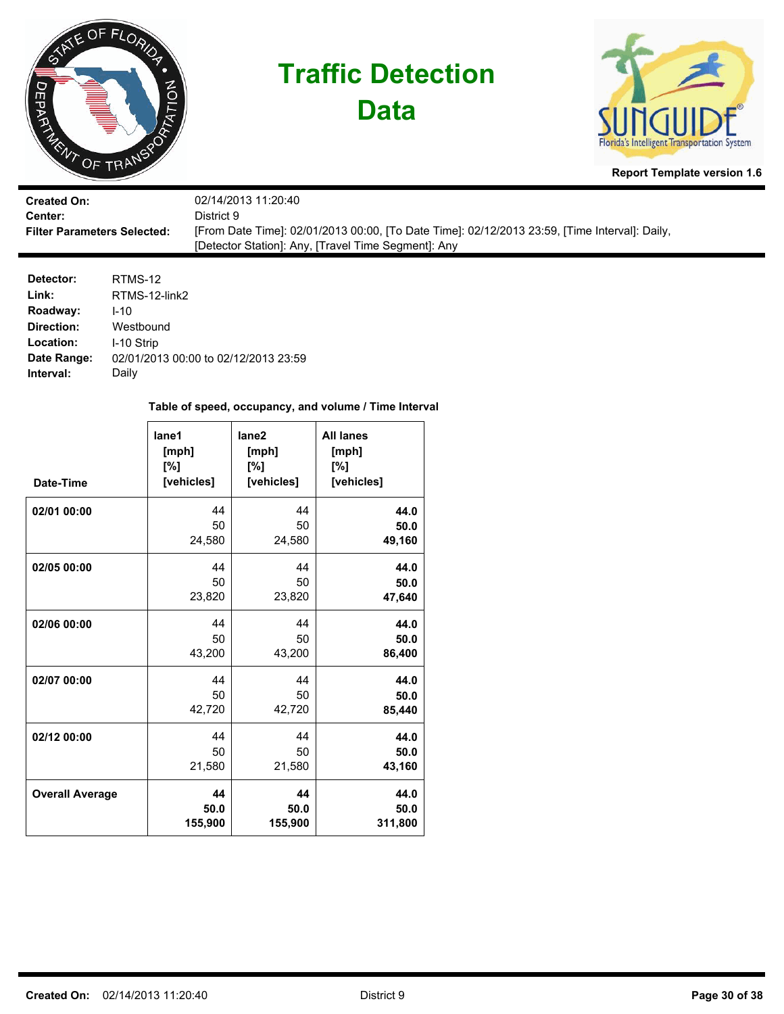

**Data**



**Report Template version 1.6**

| <b>Created On:</b>                 | 02/14/2013 11:20:40                                                                           |
|------------------------------------|-----------------------------------------------------------------------------------------------|
| <b>Center:</b>                     | District 9.                                                                                   |
| <b>Filter Parameters Selected:</b> | [From Date Time]: 02/01/2013 00:00, [To Date Time]: 02/12/2013 23:59, [Time Interval]: Daily, |
|                                    | [Detector Station]: Any, [Travel Time Segment]: Any                                           |

| Detector:   | RTMS-12                              |
|-------------|--------------------------------------|
| Link:       | RTMS-12-link2                        |
| Roadway:    | $1 - 10$                             |
| Direction:  | Westbound                            |
| Location:   | I-10 Strip                           |
| Date Range: | 02/01/2013 00:00 to 02/12/2013 23:59 |
| Interval:   | Daily                                |

| Date-Time              | lane1<br>[mph]<br>[%]<br>[vehicles] | lane <sub>2</sub><br>[mph]<br>[%]<br>[vehicles] | <b>All lanes</b><br>[mph]<br>[%]<br>[vehicles] |
|------------------------|-------------------------------------|-------------------------------------------------|------------------------------------------------|
| 02/01 00:00            | 44                                  | 44                                              | 44.0                                           |
|                        | 50                                  | 50                                              | 50.0                                           |
|                        | 24,580                              | 24,580                                          | 49,160                                         |
| 02/05 00:00            | 44                                  | 44                                              | 44.0                                           |
|                        | 50                                  | 50                                              | 50.0                                           |
|                        | 23,820                              | 23,820                                          | 47,640                                         |
| 02/06 00:00            | 44                                  | 44                                              | 44.0                                           |
|                        | 50                                  | 50                                              | 50.0                                           |
|                        | 43,200                              | 43,200                                          | 86,400                                         |
| 02/07 00:00            | 44                                  | 44                                              | 44.0                                           |
|                        | 50                                  | 50                                              | 50.0                                           |
|                        | 42,720                              | 42,720                                          | 85,440                                         |
| 02/12 00:00            | 44                                  | 44                                              | 44.0                                           |
|                        | 50                                  | 50                                              | 50.0                                           |
|                        | 21,580                              | 21,580                                          | 43,160                                         |
| <b>Overall Average</b> | 44                                  | 44                                              | 44.0                                           |
|                        | 50.0                                | 50.0                                            | 50.0                                           |
|                        | 155,900                             | 155,900                                         | 311,800                                        |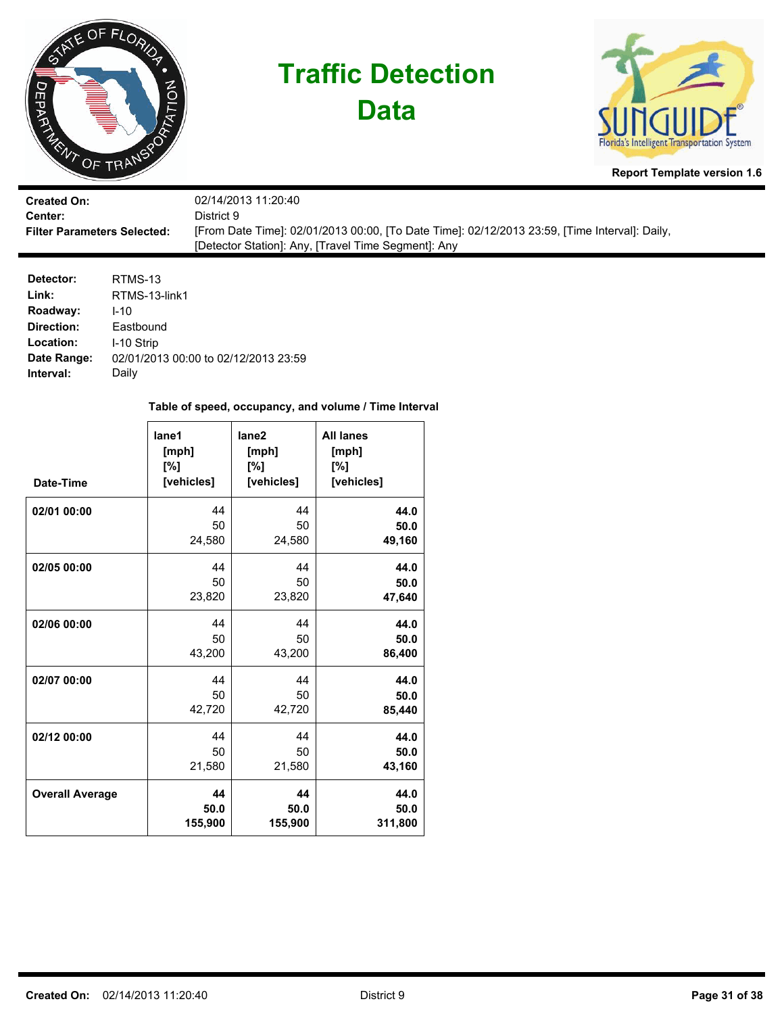

**Data**



**Report Template version 1.6**

| <b>Created On:</b>                 | 02/14/2013 11:20:40                                                                           |
|------------------------------------|-----------------------------------------------------------------------------------------------|
| <b>Center:</b>                     | District 9.                                                                                   |
| <b>Filter Parameters Selected:</b> | [From Date Time]: 02/01/2013 00:00, [To Date Time]: 02/12/2013 23:59, [Time Interval]: Daily, |
|                                    | [Detector Station]: Any, [Travel Time Segment]: Any                                           |

| RTMS-13                              |
|--------------------------------------|
| RTMS-13-link1                        |
| $1 - 10$                             |
| Eastbound                            |
| I-10 Strip                           |
| 02/01/2013 00:00 to 02/12/2013 23:59 |
| Daily                                |
|                                      |

| Date-Time              | lane1<br>[mph]<br>[%]<br>[vehicles] | lane <sub>2</sub><br>[mph]<br>[%]<br>[vehicles] | <b>All lanes</b><br>[mph]<br>[%]<br>[vehicles] |
|------------------------|-------------------------------------|-------------------------------------------------|------------------------------------------------|
| 02/01 00:00            | 44                                  | 44                                              | 44.0                                           |
|                        | 50                                  | 50                                              | 50.0                                           |
|                        | 24,580                              | 24,580                                          | 49,160                                         |
| 02/05 00:00            | 44                                  | 44                                              | 44.0                                           |
|                        | 50                                  | 50                                              | 50.0                                           |
|                        | 23,820                              | 23,820                                          | 47,640                                         |
| 02/06 00:00            | 44                                  | 44                                              | 44.0                                           |
|                        | 50                                  | 50                                              | 50.0                                           |
|                        | 43,200                              | 43,200                                          | 86,400                                         |
| 02/07 00:00            | 44                                  | 44                                              | 44.0                                           |
|                        | 50                                  | 50                                              | 50.0                                           |
|                        | 42,720                              | 42,720                                          | 85,440                                         |
| 02/12 00:00            | 44                                  | 44                                              | 44.0                                           |
|                        | 50                                  | 50                                              | 50.0                                           |
|                        | 21,580                              | 21,580                                          | 43,160                                         |
| <b>Overall Average</b> | 44                                  | 44                                              | 44.0                                           |
|                        | 50.0                                | 50.0                                            | 50.0                                           |
|                        | 155,900                             | 155,900                                         | 311,800                                        |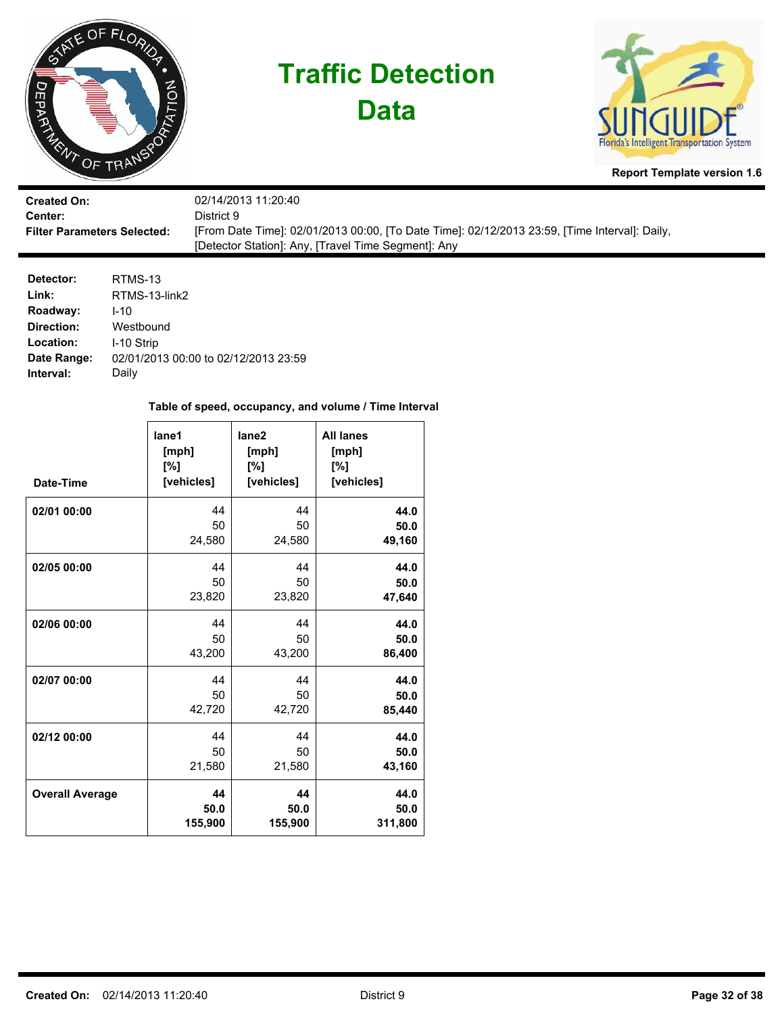

**Data**



**Report Template version 1.6**

| <b>Created On:</b>                 | 02/14/2013 11:20:40                                                                           |
|------------------------------------|-----------------------------------------------------------------------------------------------|
| Center:                            | District 9                                                                                    |
| <b>Filter Parameters Selected:</b> | [From Date Time]: 02/01/2013 00:00, [To Date Time]: 02/12/2013 23:59, [Time Interval]: Daily, |
|                                    | [Detector Station]: Any, [Travel Time Segment]: Any                                           |

| Detector:   | RTMS-13                              |
|-------------|--------------------------------------|
| Link:       | RTMS-13-link2                        |
| Roadway:    | $1 - 10$                             |
| Direction:  | Westbound                            |
| Location:   | I-10 Strip                           |
| Date Range: | 02/01/2013 00:00 to 02/12/2013 23:59 |
| Interval:   | Daily                                |

| Date-Time              | lane1<br>[mph]<br>[%]<br>[vehicles] | lane2<br>[mph]<br>[%]<br>[vehicles] | <b>All lanes</b><br>[mph]<br>[%]<br>[vehicles] |
|------------------------|-------------------------------------|-------------------------------------|------------------------------------------------|
| 02/01 00:00            | 44                                  | 44                                  | 44.0                                           |
|                        | 50                                  | 50                                  | 50.0                                           |
|                        | 24,580                              | 24,580                              | 49,160                                         |
| 02/05 00:00            | 44                                  | 44                                  | 44.0                                           |
|                        | 50                                  | 50                                  | 50.0                                           |
|                        | 23,820                              | 23,820                              | 47,640                                         |
| 02/06 00:00            | 44                                  | 44                                  | 44.0                                           |
|                        | 50                                  | 50                                  | 50.0                                           |
|                        | 43,200                              | 43,200                              | 86,400                                         |
| 02/07 00:00            | 44                                  | 44                                  | 44.0                                           |
|                        | 50                                  | 50                                  | 50.0                                           |
|                        | 42,720                              | 42,720                              | 85,440                                         |
| 02/12 00:00            | 44                                  | 44                                  | 44.0                                           |
|                        | 50                                  | 50                                  | 50.0                                           |
|                        | 21,580                              | 21,580                              | 43,160                                         |
| <b>Overall Average</b> | 44                                  | 44                                  | 44.0                                           |
|                        | 50.0                                | 50.0                                | 50.0                                           |
|                        | 155,900                             | 155,900                             | 311,800                                        |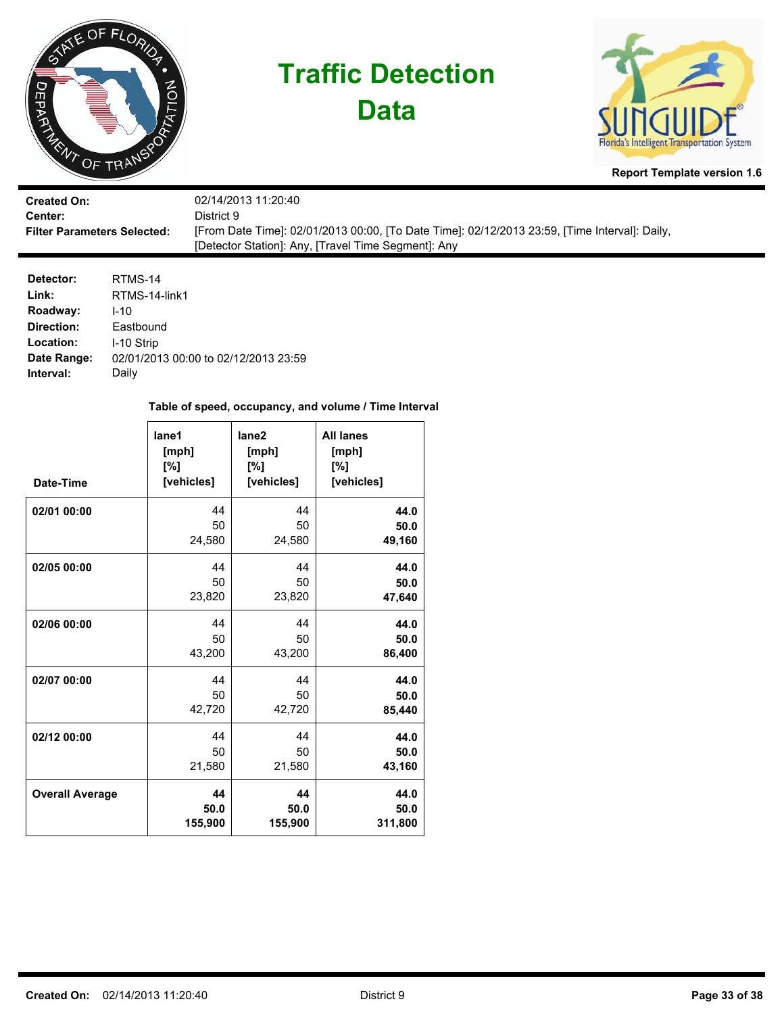

**Data**



**Report Template version 1.6**

| <b>Created On:</b>                 | 02/14/2013 11:20:40                                                                           |
|------------------------------------|-----------------------------------------------------------------------------------------------|
| <b>Center:</b>                     | District 9.                                                                                   |
| <b>Filter Parameters Selected:</b> | [From Date Time]: 02/01/2013 00:00, [To Date Time]: 02/12/2013 23:59, [Time Interval]: Daily, |
|                                    | [Detector Station]: Any, [Travel Time Segment]: Any                                           |

| Detector:   | RTMS-14                              |
|-------------|--------------------------------------|
| Link:       | RTMS-14-link1                        |
| Roadway:    | $1 - 10$                             |
| Direction:  | Eastbound                            |
| Location:   | I-10 Strip                           |
| Date Range: | 02/01/2013 00:00 to 02/12/2013 23:59 |
| Interval:   | Daily                                |

| Date-Time              | lane1<br>[mph]<br>[%]<br>[vehicles] | lane <sub>2</sub><br>[mph]<br>[%]<br>[vehicles] | <b>All lanes</b><br>[mph]<br>[%]<br>[vehicles] |
|------------------------|-------------------------------------|-------------------------------------------------|------------------------------------------------|
| 02/01 00:00            | 44                                  | 44                                              | 44.0                                           |
|                        | 50                                  | 50                                              | 50.0                                           |
|                        | 24,580                              | 24,580                                          | 49,160                                         |
| 02/05 00:00            | 44                                  | 44                                              | 44.0                                           |
|                        | 50                                  | 50                                              | 50.0                                           |
|                        | 23,820                              | 23,820                                          | 47,640                                         |
| 02/06 00:00            | 44                                  | 44                                              | 44.0                                           |
|                        | 50                                  | 50                                              | 50.0                                           |
|                        | 43,200                              | 43,200                                          | 86,400                                         |
| 02/07 00:00            | 44                                  | 44                                              | 44.0                                           |
|                        | 50                                  | 50                                              | 50.0                                           |
|                        | 42,720                              | 42,720                                          | 85,440                                         |
| 02/12 00:00            | 44                                  | 44                                              | 44.0                                           |
|                        | 50                                  | 50                                              | 50.0                                           |
|                        | 21,580                              | 21,580                                          | 43,160                                         |
| <b>Overall Average</b> | 44                                  | 44                                              | 44.0                                           |
|                        | 50.0                                | 50.0                                            | 50.0                                           |
|                        | 155,900                             | 155,900                                         | 311,800                                        |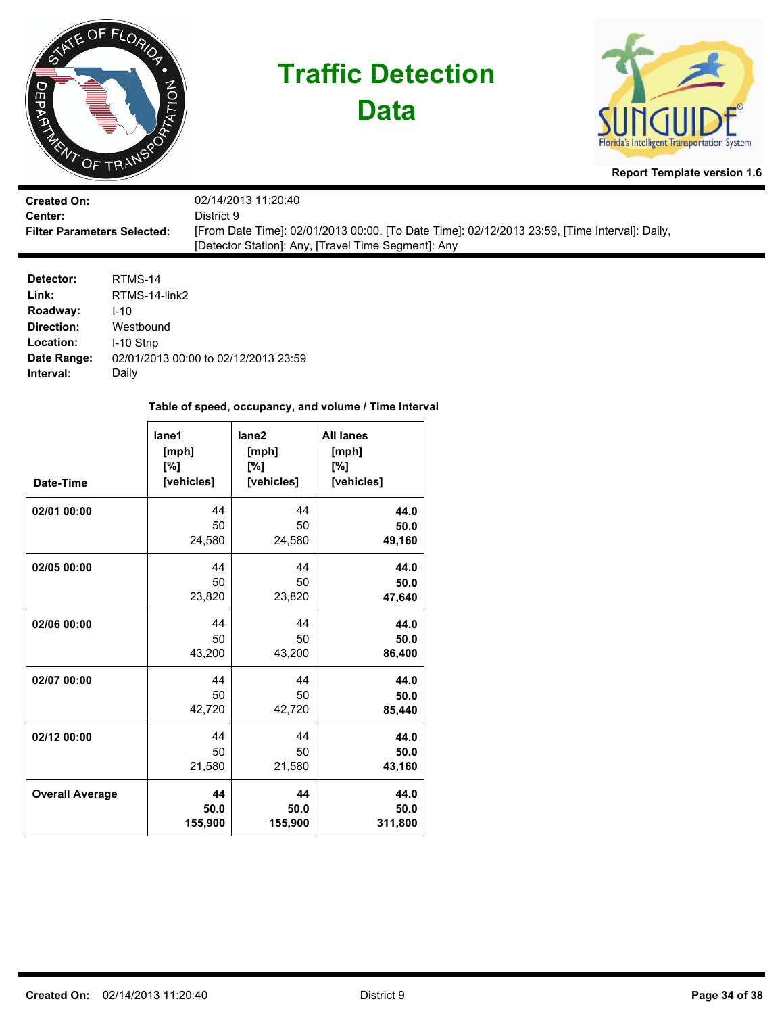

**Data**



**Report Template version 1.6**

| <b>Created On:</b>                 | 02/14/2013 11:20:40                                                                           |
|------------------------------------|-----------------------------------------------------------------------------------------------|
| Center:                            | District 9                                                                                    |
| <b>Filter Parameters Selected:</b> | [From Date Time]: 02/01/2013 00:00, [To Date Time]: 02/12/2013 23:59, [Time Interval]: Daily, |
|                                    | [Detector Station]: Any, [Travel Time Segment]: Any                                           |

| Detector:   | RTMS-14                              |
|-------------|--------------------------------------|
| Link:       | RTMS-14-link2                        |
| Roadway:    | $1 - 10$                             |
| Direction:  | Westbound                            |
| Location:   | I-10 Strip                           |
| Date Range: | 02/01/2013 00:00 to 02/12/2013 23:59 |
| Interval:   | Daily                                |

| Date-Time              | lane1<br>[mph]<br>[%]<br>[vehicles] | lane <sub>2</sub><br>[mph]<br>[%]<br>[vehicles] | <b>All lanes</b><br>[mph]<br>[%]<br>[vehicles] |
|------------------------|-------------------------------------|-------------------------------------------------|------------------------------------------------|
| 02/01 00:00            | 44                                  | 44                                              | 44.0                                           |
|                        | 50                                  | 50                                              | 50.0                                           |
|                        | 24,580                              | 24,580                                          | 49,160                                         |
| 02/05 00:00            | 44                                  | 44                                              | 44.0                                           |
|                        | 50                                  | 50                                              | 50.0                                           |
|                        | 23,820                              | 23,820                                          | 47,640                                         |
| 02/06 00:00            | 44                                  | 44                                              | 44.0                                           |
|                        | 50                                  | 50                                              | 50.0                                           |
|                        | 43,200                              | 43,200                                          | 86,400                                         |
| 02/07 00:00            | 44                                  | 44                                              | 44.0                                           |
|                        | 50                                  | 50                                              | 50.0                                           |
|                        | 42,720                              | 42,720                                          | 85,440                                         |
| 02/12 00:00            | 44                                  | 44                                              | 44.0                                           |
|                        | 50                                  | 50                                              | 50.0                                           |
|                        | 21,580                              | 21,580                                          | 43,160                                         |
| <b>Overall Average</b> | 44                                  | 44                                              | 44.0                                           |
|                        | 50.0                                | 50.0                                            | 50.0                                           |
|                        | 155,900                             | 155,900                                         | 311,800                                        |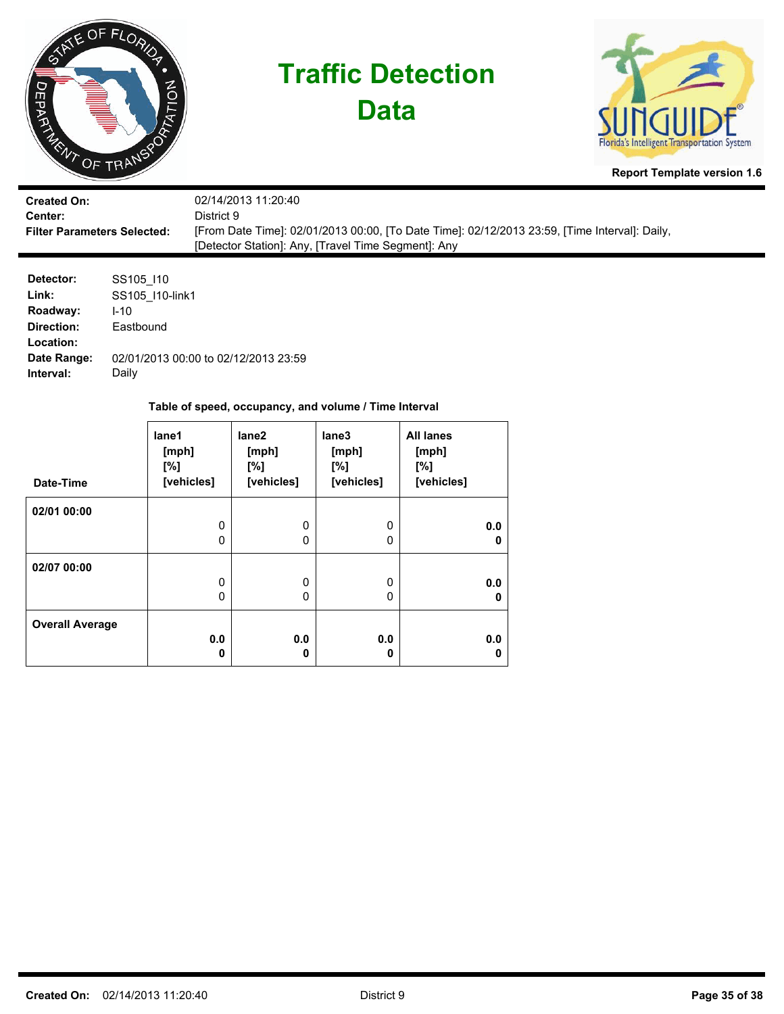

| <b>Created On:</b>                 | 02/14/2013 11:20:40                                                                           |
|------------------------------------|-----------------------------------------------------------------------------------------------|
| <b>Center:</b>                     | District 9                                                                                    |
| <b>Filter Parameters Selected:</b> | [From Date Time]: 02/01/2013 00:00, [To Date Time]: 02/12/2013 23:59, [Time Interval]: Daily, |
|                                    | [Detector Station]: Any, [Travel Time Segment]: Any                                           |

| Detector:   | SS105 110                            |
|-------------|--------------------------------------|
| Link:       | SS105 110-link1                      |
| Roadway:    | $1 - 10$                             |
| Direction:  | Eastbound                            |
| Location:   |                                      |
| Date Range: | 02/01/2013 00:00 to 02/12/2013 23:59 |
| Interval:   | Daily                                |

| Date-Time              | lane1<br>[mph]<br>[%]<br>[vehicles] | lane2<br>[mph]<br>[%]<br>[vehicles] | lane3<br>[mph]<br>[%]<br>[vehicles] | <b>All lanes</b><br>[mph]<br>$N^{\circ}$<br>[vehicles] |
|------------------------|-------------------------------------|-------------------------------------|-------------------------------------|--------------------------------------------------------|
| 02/01 00:00            |                                     |                                     |                                     |                                                        |
|                        | 0                                   | 0                                   | 0                                   | 0.0                                                    |
|                        | 0                                   | 0                                   | 0                                   | 0                                                      |
| 02/07 00:00            |                                     |                                     |                                     |                                                        |
|                        | $\mathbf{0}$                        | 0                                   | $\mathbf{0}$                        | 0.0                                                    |
|                        | $\mathbf{0}$                        | 0                                   | $\mathbf{0}$                        | 0                                                      |
| <b>Overall Average</b> |                                     |                                     |                                     |                                                        |
|                        | 0.0                                 | 0.0                                 | 0.0                                 | 0.0                                                    |
|                        | 0                                   | 0                                   | 0                                   | 0                                                      |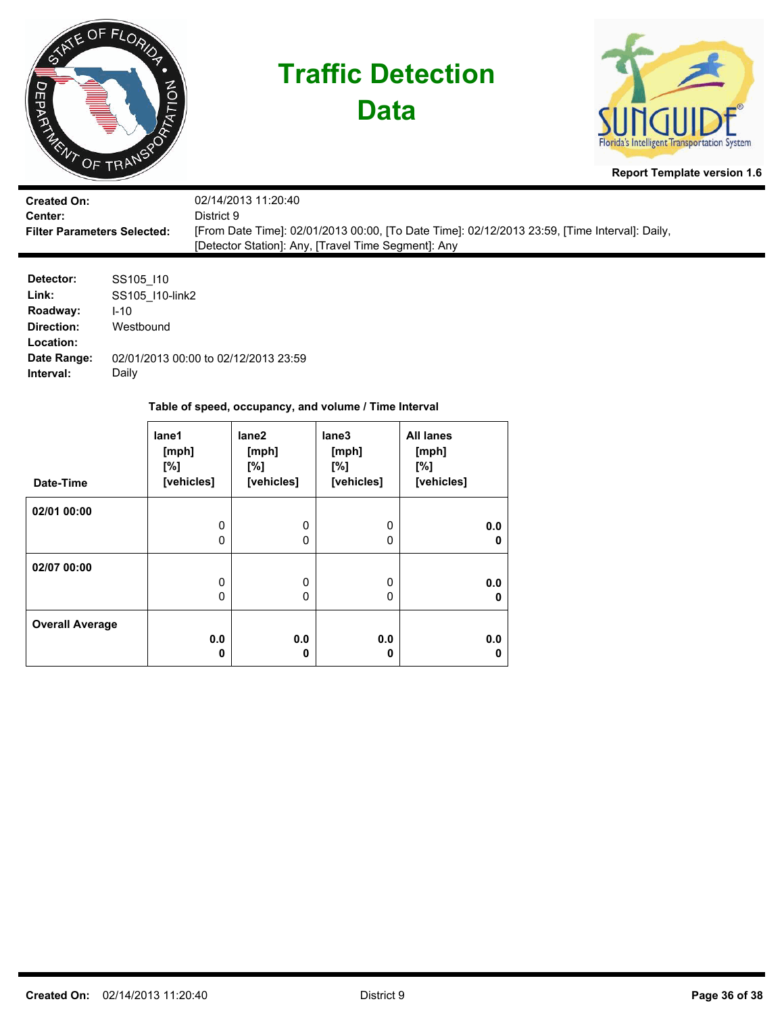

| <b>Created On:</b>                 | 02/14/2013 11:20:40                                                                           |
|------------------------------------|-----------------------------------------------------------------------------------------------|
| Center:                            | District 9.                                                                                   |
| <b>Filter Parameters Selected:</b> | [From Date Time]: 02/01/2013 00:00, [To Date Time]: 02/12/2013 23:59, [Time Interval]: Daily, |
|                                    | [Detector Station]: Any, [Travel Time Segment]: Any                                           |

| Detector:   | SS105 110                            |
|-------------|--------------------------------------|
| Link:       | SS105 110-link2                      |
| Roadway:    | $1 - 10$                             |
| Direction:  | Westbound                            |
| Location:   |                                      |
| Date Range: | 02/01/2013 00:00 to 02/12/2013 23:59 |
| Interval:   | Daily                                |

| Date-Time              | lane1<br>[mph]<br>[%]<br>[vehicles] | lane2<br>[mph]<br>[%]<br>[vehicles] | lane3<br>[mph]<br>[%]<br>[vehicles] | <b>All lanes</b><br>[mph]<br>$N^{\circ}$<br>[vehicles] |
|------------------------|-------------------------------------|-------------------------------------|-------------------------------------|--------------------------------------------------------|
| 02/01 00:00            |                                     |                                     |                                     |                                                        |
|                        | 0                                   | 0                                   | $\mathbf{0}$                        | 0.0                                                    |
|                        | 0                                   | 0                                   | 0                                   | 0                                                      |
| 02/07 00:00            |                                     |                                     |                                     |                                                        |
|                        | 0                                   | 0                                   | $\mathbf{0}$                        | 0.0                                                    |
|                        | 0                                   | 0                                   | 0                                   | 0                                                      |
| <b>Overall Average</b> |                                     |                                     |                                     |                                                        |
|                        | 0.0                                 | 0.0                                 | 0.0                                 | 0.0                                                    |
|                        | 0                                   | 0                                   | 0                                   | 0                                                      |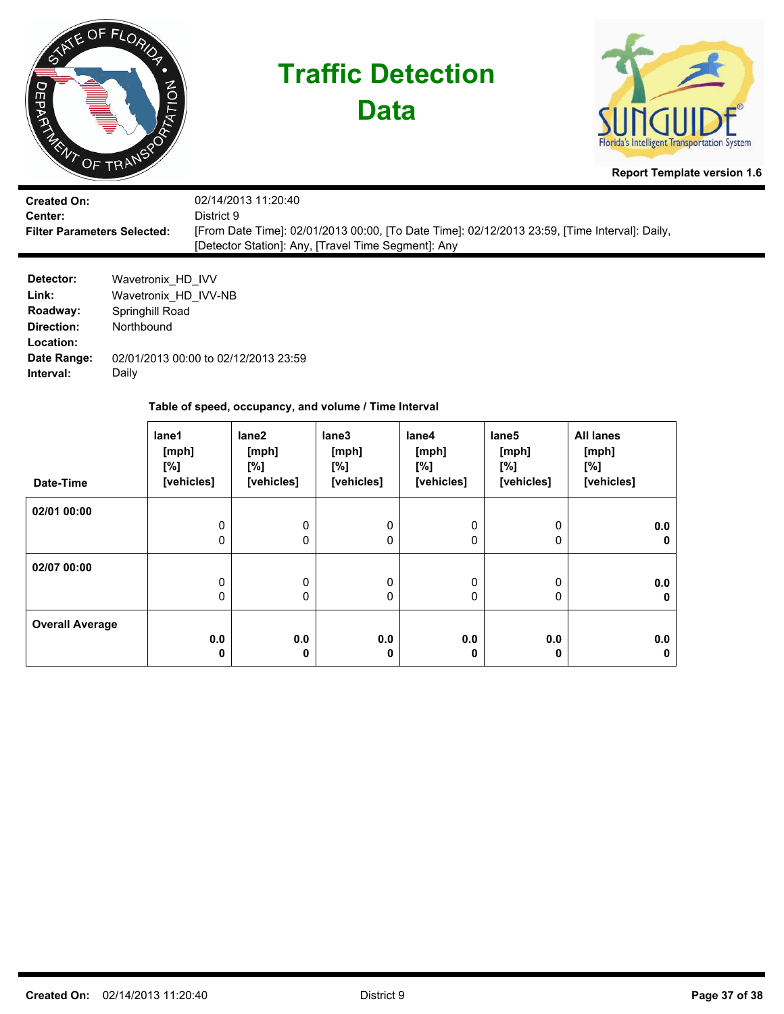| ∽                                                                                            | ATE OF FLORIDA<br>THE TRANSPORT                                                     | <b>Traffic Detection</b><br><b>Data</b>                                                                                                                                                   |                                                 |                                                       |                                     |                                                 | Florida's Intelligent Transportation System<br><b>Report Template version 1.6</b> |  |  |  |  |
|----------------------------------------------------------------------------------------------|-------------------------------------------------------------------------------------|-------------------------------------------------------------------------------------------------------------------------------------------------------------------------------------------|-------------------------------------------------|-------------------------------------------------------|-------------------------------------|-------------------------------------------------|-----------------------------------------------------------------------------------|--|--|--|--|
| <b>Created On:</b><br>Center:<br><b>Filter Parameters Selected:</b>                          |                                                                                     | 02/14/2013 11:20:40<br>District 9<br>[From Date Time]: 02/01/2013 00:00, [To Date Time]: 02/12/2013 23:59, [Time Interval]: Daily,<br>[Detector Station]: Any, [Travel Time Segment]: Any |                                                 |                                                       |                                     |                                                 |                                                                                   |  |  |  |  |
| Detector:<br>Link:<br>Roadway:<br><b>Direction:</b><br>Location:<br>Date Range:<br>Interval: | Wavetronix_HD_IVV<br>Wavetronix HD IVV-NB<br>Springhill Road<br>Northbound<br>Daily | 02/01/2013 00:00 to 02/12/2013 23:59                                                                                                                                                      |                                                 |                                                       |                                     |                                                 |                                                                                   |  |  |  |  |
|                                                                                              |                                                                                     |                                                                                                                                                                                           |                                                 | Table of speed, occupancy, and volume / Time Interval |                                     |                                                 |                                                                                   |  |  |  |  |
| Date-Time                                                                                    | lane1<br>[mph]<br>[%]                                                               | [vehicles]                                                                                                                                                                                | lane <sub>2</sub><br>[mph]<br>[%]<br>[vehicles] | lane3<br>[mph]<br>[%]<br>[vehicles]                   | lane4<br>[mph]<br>[%]<br>[vehicles] | lane <sub>5</sub><br>[mph]<br>[%]<br>[vehicles] | <b>All lanes</b><br>[mph]<br>[%]<br>[vehicles]                                    |  |  |  |  |

0 0

0 0

**0.0 0** 0 0

0 0

**0.0 0**

0 0

0 0

**0.0 0** **0.0 0**

**0.0 0**

**0.0 0**

**02/01 00:00**

**02/07 00:00**

**Overall Average**

0 0

> 0 0

**0.0 0** 0 0

0 0

**0.0 0**